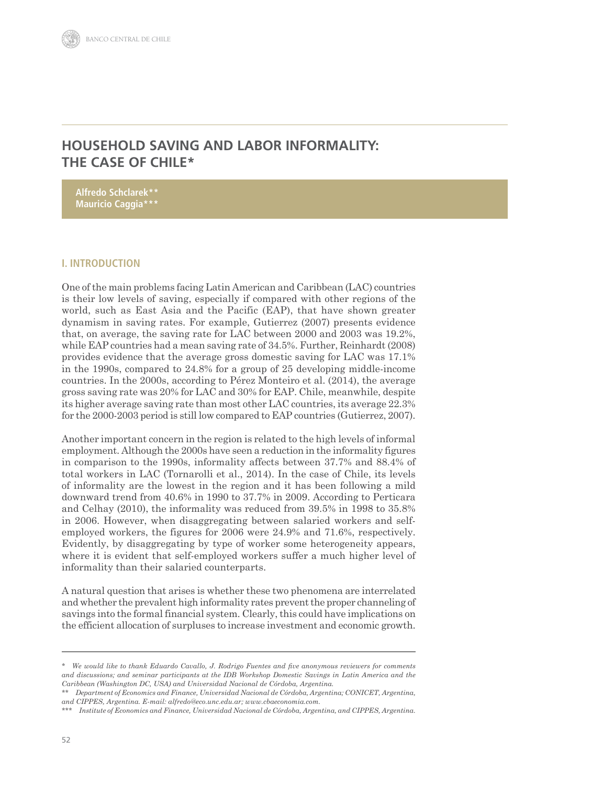## **HOUSEHOLD SAVING AND LABOR INFORMALITY: THE CASE OF CHILE\***

**Alfredo Schclarek\*\* Mauricio Caggia\*\*\***

#### **I. INTRODUCTION**

One of the main problems facing Latin American and Caribbean (LAC) countries is their low levels of saving, especially if compared with other regions of the world, such as East Asia and the Pacific (EAP), that have shown greater dynamism in saving rates. For example, Gutierrez (2007) presents evidence that, on average, the saving rate for LAC between 2000 and 2003 was 19.2%, while EAP countries had a mean saving rate of 34.5%. Further, Reinhardt (2008) provides evidence that the average gross domestic saving for LAC was 17.1% in the 1990s, compared to 24.8% for a group of 25 developing middle-income countries. In the 2000s, according to Pérez Monteiro et al. (2014), the average gross saving rate was 20% for LAC and 30% for EAP. Chile, meanwhile, despite its higher average saving rate than most other LAC countries, its average 22.3% for the 2000-2003 period is still low compared to EAP countries (Gutierrez, 2007).

Another important concern in the region is related to the high levels of informal employment. Although the 2000s have seen a reduction in the informality figures in comparison to the 1990s, informality affects between 37.7% and 88.4% of total workers in LAC (Tornarolli et al., 2014). In the case of Chile, its levels of informality are the lowest in the region and it has been following a mild downward trend from 40.6% in 1990 to 37.7% in 2009. According to Perticara and Celhay (2010), the informality was reduced from 39.5% in 1998 to 35.8% in 2006. However, when disaggregating between salaried workers and selfemployed workers, the figures for 2006 were 24.9% and 71.6%, respectively. Evidently, by disaggregating by type of worker some heterogeneity appears, where it is evident that self-employed workers suffer a much higher level of informality than their salaried counterparts.

A natural question that arises is whether these two phenomena are interrelated and whether the prevalent high informality rates prevent the proper channeling of savings into the formal financial system. Clearly, this could have implications on the efficient allocation of surpluses to increase investment and economic growth.

*<sup>\*</sup> We would like to thank Eduardo Cavallo, J. Rodrigo Fuentes and five anonymous reviewers for comments and discussions; and seminar participants at the IDB Workshop Domestic Savings in Latin America and the Caribbean (Washington DC, USA) and Universidad Nacional de Córdoba, Argentina.*

*<sup>\*\*</sup> Department of Economics and Finance, Universidad Nacional de Córdoba, Argentina; CONICET, Argentina, and CIPPES, Argentina. E-mail: alfredo@eco.unc.edu.ar; www.cbaeconomia.com.*

*<sup>\*\*\*</sup> Institute of Economics and Finance, Universidad Nacional de Córdoba, Argentina, and CIPPES, Argentina.*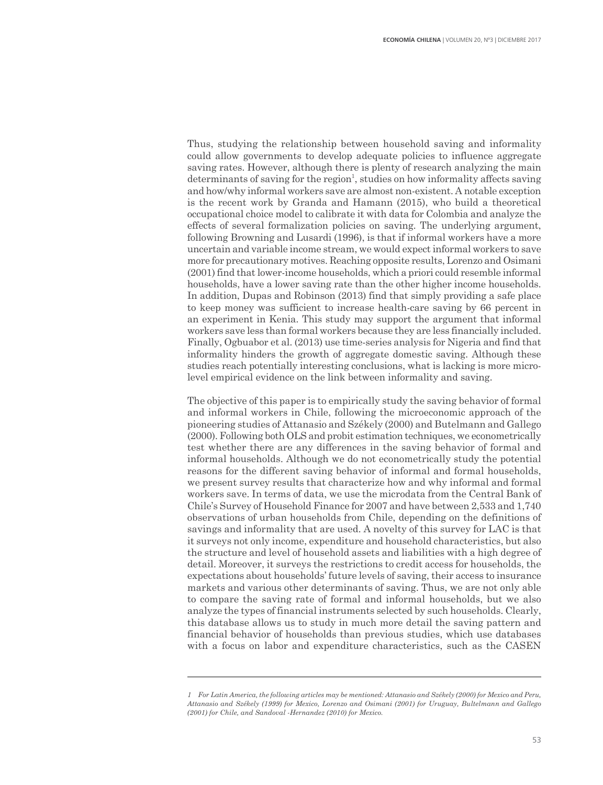Thus, studying the relationship between household saving and informality could allow governments to develop adequate policies to influence aggregate saving rates. However, although there is plenty of research analyzing the main  $determinants$  of saving for the region<sup>1</sup>, studies on how informality affects saving and how/why informal workers save are almost non-existent. A notable exception is the recent work by Granda and Hamann (2015), who build a theoretical occupational choice model to calibrate it with data for Colombia and analyze the effects of several formalization policies on saving. The underlying argument, following Browning and Lusardi (1996), is that if informal workers have a more uncertain and variable income stream, we would expect informal workers to save more for precautionary motives. Reaching opposite results, Lorenzo and Osimani (2001) find that lower-income households, which a priori could resemble informal households, have a lower saving rate than the other higher income households. In addition, Dupas and Robinson (2013) find that simply providing a safe place to keep money was sufficient to increase health-care saving by 66 percent in an experiment in Kenia. This study may support the argument that informal workers save less than formal workers because they are less financially included. Finally, Ogbuabor et al. (2013) use time-series analysis for Nigeria and find that informality hinders the growth of aggregate domestic saving. Although these studies reach potentially interesting conclusions, what is lacking is more microlevel empirical evidence on the link between informality and saving.

The objective of this paper is to empirically study the saving behavior of formal and informal workers in Chile, following the microeconomic approach of the pioneering studies of Attanasio and Székely (2000) and Butelmann and Gallego (2000). Following both OLS and probit estimation techniques, we econometrically test whether there are any differences in the saving behavior of formal and informal households. Although we do not econometrically study the potential reasons for the different saving behavior of informal and formal households, we present survey results that characterize how and why informal and formal workers save. In terms of data, we use the microdata from the Central Bank of Chile's Survey of Household Finance for 2007 and have between 2,533 and 1,740 observations of urban households from Chile, depending on the definitions of savings and informality that are used. A novelty of this survey for LAC is that it surveys not only income, expenditure and household characteristics, but also the structure and level of household assets and liabilities with a high degree of detail. Moreover, it surveys the restrictions to credit access for households, the expectations about households' future levels of saving, their access to insurance markets and various other determinants of saving. Thus, we are not only able to compare the saving rate of formal and informal households, but we also analyze the types of financial instruments selected by such households. Clearly, this database allows us to study in much more detail the saving pattern and financial behavior of households than previous studies, which use databases with a focus on labor and expenditure characteristics, such as the CASEN

<sup>1</sup> For Latin America, the following articles may be mentioned: Attanasio and Székely (2000) for Mexico and Peru, *Attanasio and Székely (1999) for Mexico, Lorenzo and Osimani (2001) for Uruguay, Bultelmann and Gallego (2001) for Chile, and Sandoval -Hernandez (2010) for Mexico.*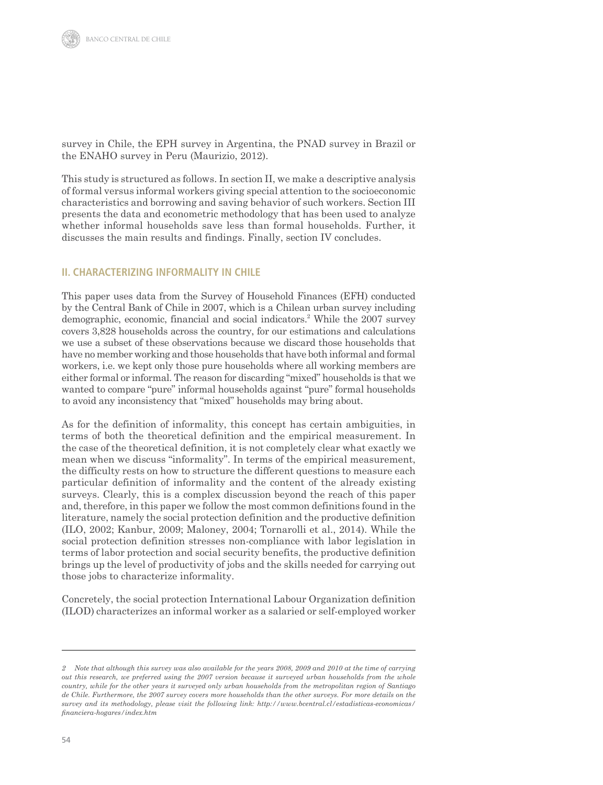survey in Chile, the EPH survey in Argentina, the PNAD survey in Brazil or the ENAHO survey in Peru (Maurizio, 2012).

This study is structured as follows. In section II, we make a descriptive analysis of formal versus informal workers giving special attention to the socioeconomic characteristics and borrowing and saving behavior of such workers. Section III presents the data and econometric methodology that has been used to analyze whether informal households save less than formal households. Further, it discusses the main results and findings. Finally, section IV concludes.

#### **II. CHARACTERIZING INFORMALITY IN CHILE**

This paper uses data from the Survey of Household Finances (EFH) conducted by the Central Bank of Chile in 2007, which is a Chilean urban survey including demographic, economic, financial and social indicators.<sup>2</sup> While the 2007 survey covers 3,828 households across the country, for our estimations and calculations we use a subset of these observations because we discard those households that have no member working and those households that have both informal and formal workers, i.e. we kept only those pure households where all working members are either formal or informal. The reason for discarding "mixed" households is that we wanted to compare "pure" informal households against "pure" formal households to avoid any inconsistency that "mixed" households may bring about.

As for the definition of informality, this concept has certain ambiguities, in terms of both the theoretical definition and the empirical measurement. In the case of the theoretical definition, it is not completely clear what exactly we mean when we discuss "informality". In terms of the empirical measurement, the difficulty rests on how to structure the different questions to measure each particular definition of informality and the content of the already existing surveys. Clearly, this is a complex discussion beyond the reach of this paper and, therefore, in this paper we follow the most common definitions found in the literature, namely the social protection definition and the productive definition (ILO, 2002; Kanbur, 2009; Maloney, 2004; Tornarolli et al., 2014). While the social protection definition stresses non-compliance with labor legislation in terms of labor protection and social security benefits, the productive definition brings up the level of productivity of jobs and the skills needed for carrying out those jobs to characterize informality.

Concretely, the social protection International Labour Organization definition (ILOD) characterizes an informal worker as a salaried or self-employed worker

<sup>2</sup> Note that although this survey was also available for the years 2008, 2009 and 2010 at the time of carrying out this research, we preferred using the 2007 version because it surveyed urban households from the whole country, while for the other years it surveyed only urban households from the metropolitan region of Santiago de Chile. Furthermore, the 2007 survey covers more households than the other surveys. For more details on the *survey and its methodology, please visit the following link: http://www.bcentral.cl/estadisticas-economicas/ financiera-hogares/index.htm*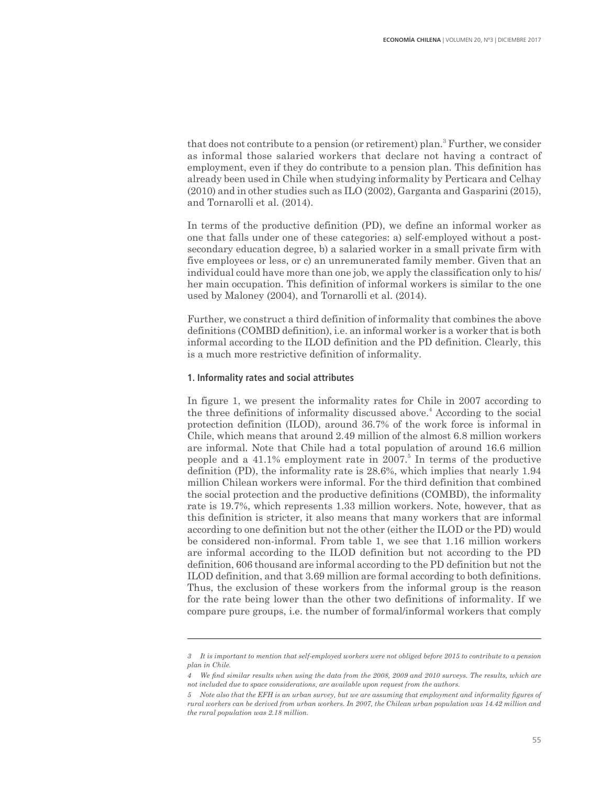that does not contribute to a pension (or retirement) plan.<sup>3</sup> Further, we consider as informal those salaried workers that declare not having a contract of employment, even if they do contribute to a pension plan. This definition has already been used in Chile when studying informality by Perticara and Celhay (2010) and in other studies such as ILO (2002), Garganta and Gasparini (2015), and Tornarolli et al. (2014).

In terms of the productive definition (PD), we define an informal worker as one that falls under one of these categories: a) self-employed without a postsecondary education degree, b) a salaried worker in a small private firm with five employees or less, or c) an unremunerated family member. Given that an individual could have more than one job, we apply the classification only to his/ her main occupation. This definition of informal workers is similar to the one used by Maloney (2004), and Tornarolli et al. (2014).

Further, we construct a third definition of informality that combines the above definitions (COMBD definition), i.e. an informal worker is a worker that is both informal according to the ILOD definition and the PD definition. Clearly, this is a much more restrictive definition of informality.

#### **1. Informality rates and social attributes**

In figure 1, we present the informality rates for Chile in 2007 according to the three definitions of informality discussed above.<sup>4</sup> According to the social protection definition (ILOD), around 36.7% of the work force is informal in Chile, which means that around 2.49 million of the almost 6.8 million workers are informal. Note that Chile had a total population of around 16.6 million people and a  $41.1\%$  employment rate in  $2007$ .<sup>5</sup> In terms of the productive definition (PD), the informality rate is 28.6%, which implies that nearly 1.94 million Chilean workers were informal. For the third definition that combined the social protection and the productive definitions (COMBD), the informality rate is 19.7%, which represents 1.33 million workers. Note, however, that as this definition is stricter, it also means that many workers that are informal according to one definition but not the other (either the ILOD or the PD) would be considered non-informal. From table 1, we see that 1.16 million workers are informal according to the ILOD definition but not according to the PD definition, 606 thousand are informal according to the PD definition but not the ILOD definition, and that 3.69 million are formal according to both definitions. Thus, the exclusion of these workers from the informal group is the reason for the rate being lower than the other two definitions of informality. If we compare pure groups, i.e. the number of formal/informal workers that comply

<sup>3</sup> It is important to mention that self-employed workers were not obliged before 2015 to contribute to a pension *plan in Chile.*

<sup>4</sup> We find similar results when using the data from the 2008, 2009 and 2010 surveys. The results, which are *not included due to space considerations, are available upon request from the authors.*

<sup>5</sup> Note also that the EFH is an urban survey, but we are assuming that employment and informality figures of rural workers can be derived from urban workers. In 2007, the Chilean urban population was 14.42 million and *the rural population was 2.18 million.*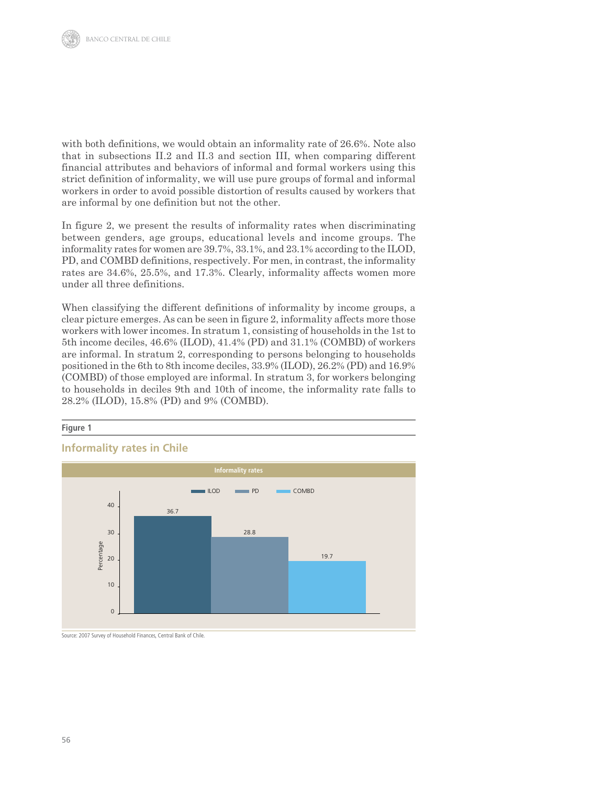

with both definitions, we would obtain an informality rate of 26.6%. Note also that in subsections II.2 and II.3 and section III, when comparing different financial attributes and behaviors of informal and formal workers using this strict definition of informality, we will use pure groups of formal and informal workers in order to avoid possible distortion of results caused by workers that are informal by one definition but not the other.

In figure 2, we present the results of informality rates when discriminating between genders, age groups, educational levels and income groups. The informality rates for women are 39.7%, 33.1%, and 23.1% according to the ILOD, PD, and COMBD definitions, respectively. For men, in contrast, the informality rates are 34.6%, 25.5%, and 17.3%. Clearly, informality affects women more under all three definitions.

When classifying the different definitions of informality by income groups, a clear picture emerges. As can be seen in figure 2, informality affects more those workers with lower incomes. In stratum 1, consisting of households in the 1st to 5th income deciles, 46.6% (ILOD), 41.4% (PD) and 31.1% (COMBD) of workers are informal. In stratum 2, corresponding to persons belonging to households positioned in the 6th to 8th income deciles, 33.9% (ILOD), 26.2% (PD) and 16.9% (COMBD) of those employed are informal. In stratum 3, for workers belonging to households in deciles 9th and 10th of income, the informality rate falls to 28.2% (ILOD), 15.8% (PD) and 9% (COMBD).

#### **Figure 1**

## **Informality rates** ILOD PD COMBD 40 36.7 30 28.8 Percentage Percentage 19.7 20 10  $\Omega$

## **Informality rates in Chile**

Source: 2007 Survey of Household Finances, Central Bank of Chile.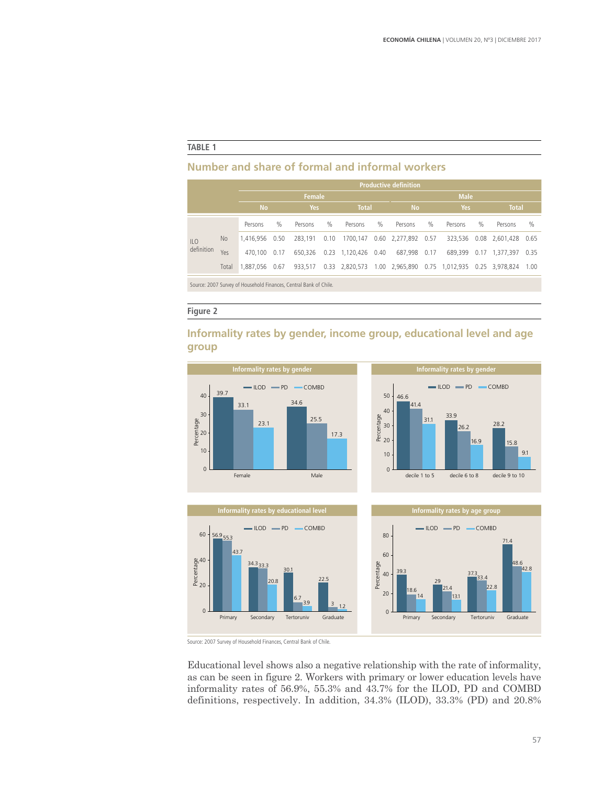#### **TABLE 1**

### **Number and share of formal and informal workers**

|                                        |           |           |            |         |              |                | <b>Productive definition</b> |                                              |      |         |               |                |      |
|----------------------------------------|-----------|-----------|------------|---------|--------------|----------------|------------------------------|----------------------------------------------|------|---------|---------------|----------------|------|
|                                        | Female    |           |            |         | <b>Male</b>  |                |                              |                                              |      |         |               |                |      |
| <b>No</b>                              |           |           | <b>Yes</b> |         | <b>Total</b> |                | <b>No</b>                    |                                              | Yes  |         | <b>Total</b>  |                |      |
|                                        |           | Persons   | $\%$       | Persons | $\%$         | Persons        | $\%$                         | Persons                                      | $\%$ | Persons | $\frac{0}{0}$ | Persons        | $\%$ |
| $\parallel$ <sup>O</sup><br>definition | <b>No</b> | 1,416,956 | 0.50       | 283,191 | 0.10         | 1700,147       |                              | $0.60$ 2,277,892 0.57                        |      | 323,536 |               | 0.08 2,601,428 | 0.65 |
|                                        | Yes       | 470.100   | 0.17       | 650.326 | 0.23         | 1,120,426      | 0.40                         | 687,998                                      | 0.17 | 689.399 | 0.17          | 1,377,397      | 0.35 |
|                                        | Total     | 1,887,056 | 0.67       | 933.517 |              | 0.33 2,820,573 |                              | 1.00 2,965,890 0.75 1,012,935 0.25 3,978,824 |      |         |               |                | 1.00 |

Source: 2007 Survey of Household Finances, Central Bank of Chile.

#### **Figure 2**

### **Informality rates by gender, income group, educational level and age group**



Source: 2007 Survey of Household Finances, Central Bank of Chile.

Educational level shows also a negative relationship with the rate of informality, as can be seen in figure 2. Workers with primary or lower education levels have informality rates of 56.9%, 55.3% and 43.7% for the ILOD, PD and COMBD definitions, respectively. In addition, 34.3% (ILOD), 33.3% (PD) and 20.8%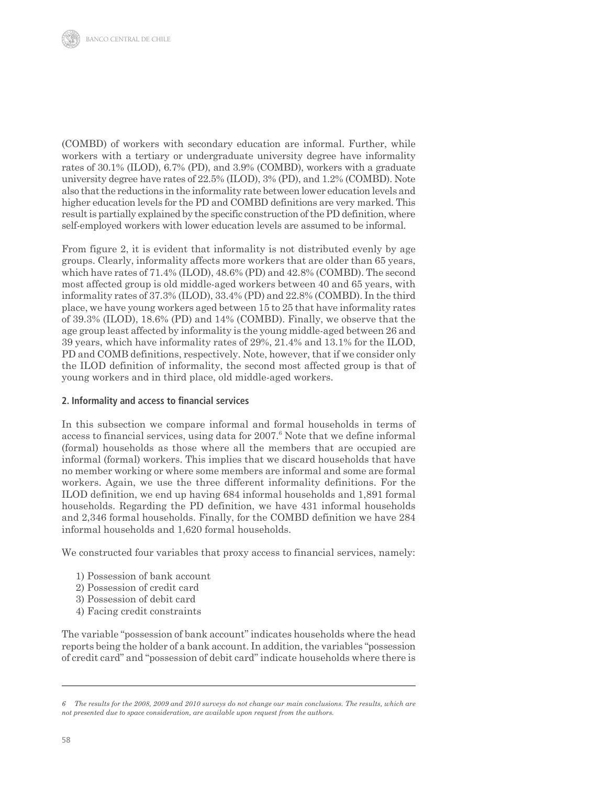(COMBD) of workers with secondary education are informal. Further, while workers with a tertiary or undergraduate university degree have informality rates of 30.1% (ILOD), 6.7% (PD), and 3.9% (COMBD), workers with a graduate university degree have rates of 22.5% (ILOD), 3% (PD), and 1.2% (COMBD). Note also that the reductions in the informality rate between lower education levels and higher education levels for the PD and COMBD definitions are very marked. This result is partially explained by the specific construction of the PD definition, where self-employed workers with lower education levels are assumed to be informal.

From figure 2, it is evident that informality is not distributed evenly by age groups. Clearly, informality affects more workers that are older than 65 years, which have rates of 71.4% (ILOD), 48.6% (PD) and 42.8% (COMBD). The second most affected group is old middle-aged workers between 40 and 65 years, with informality rates of 37.3% (ILOD), 33.4% (PD) and 22.8% (COMBD). In the third place, we have young workers aged between 15 to 25 that have informality rates of 39.3% (ILOD), 18.6% (PD) and 14% (COMBD). Finally, we observe that the age group least affected by informality is the young middle-aged between 26 and 39 years, which have informality rates of 29%, 21.4% and 13.1% for the ILOD, PD and COMB definitions, respectively. Note, however, that if we consider only the ILOD definition of informality, the second most affected group is that of young workers and in third place, old middle-aged workers.

#### **2. Informality and access to financial services**

In this subsection we compare informal and formal households in terms of access to financial services, using data for  $2007$ .<sup>6</sup> Note that we define informal (formal) households as those where all the members that are occupied are informal (formal) workers. This implies that we discard households that have no member working or where some members are informal and some are formal workers. Again, we use the three different informality definitions. For the ILOD definition, we end up having 684 informal households and 1,891 formal households. Regarding the PD definition, we have 431 informal households and 2,346 formal households. Finally, for the COMBD definition we have 284 informal households and 1,620 formal households.

We constructed four variables that proxy access to financial services, namely:

- 1) Possession of bank account
- 2) Possession of credit card
- 3) Possession of debit card
- 4) Facing credit constraints

The variable "possession of bank account" indicates households where the head reports being the holder of a bank account. In addition, the variables "possession of credit card" and "possession of debit card" indicate households where there is

<sup>6</sup> The results for the 2008, 2009 and 2010 surveys do not change our main conclusions. The results, which are *not presented due to space consideration, are available upon request from the authors.*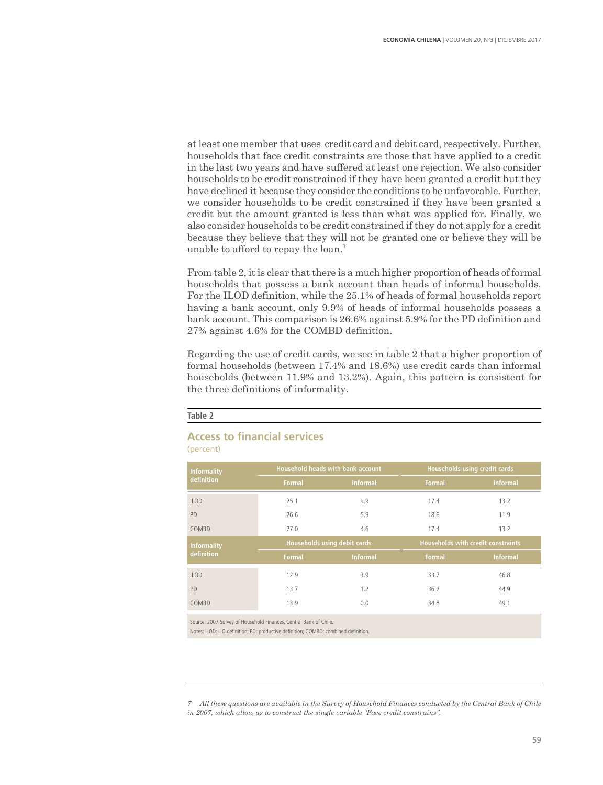at least one member that uses credit card and debit card, respectively. Further, households that face credit constraints are those that have applied to a credit in the last two years and have suffered at least one rejection. We also consider households to be credit constrained if they have been granted a credit but they have declined it because they consider the conditions to be unfavorable. Further, we consider households to be credit constrained if they have been granted a credit but the amount granted is less than what was applied for. Finally, we also consider households to be credit constrained if they do not apply for a credit because they believe that they will not be granted one or believe they will be unable to afford to repay the loan.<sup>7</sup>

From table 2, it is clear that there is a much higher proportion of heads of formal households that possess a bank account than heads of informal households. For the ILOD definition, while the 25.1% of heads of formal households report having a bank account, only 9.9% of heads of informal households possess a bank account. This comparison is 26.6% against 5.9% for the PD definition and 27% against 4.6% for the COMBD definition.

Regarding the use of credit cards, we see in table 2 that a higher proportion of formal households (between 17.4% and 18.6%) use credit cards than informal households (between 11.9% and 13.2%). Again, this pattern is consistent for the three definitions of informality.

| <b>Informality</b> |               | Household heads with bank account | Households using credit cards             |                 |  |
|--------------------|---------------|-----------------------------------|-------------------------------------------|-----------------|--|
| definition         | <b>Formal</b> | <b>Informal</b>                   | <b>Formal</b>                             | <b>Informal</b> |  |
| <b>ILOD</b>        | 25.1          | 9.9                               | 17.4                                      | 13.2            |  |
| <b>PD</b>          | 26.6          | 5.9                               | 18.6                                      | 11.9            |  |
| COMBD              | 27.0          | 4.6                               | 17.4                                      | 13.2            |  |
| <b>Informality</b> |               | Households using debit cards      | <b>Households with credit constraints</b> |                 |  |
| definition         | <b>Formal</b> | <b>Informal</b>                   | <b>Formal</b>                             | <b>Informal</b> |  |
| <b>ILOD</b>        | 12.9          | 3.9                               | 33.7                                      | 46.8            |  |
| <b>PD</b>          | 13.7          | 1.2                               | 36.2                                      | 44.9            |  |
| COMBD              | 13.9          | 0.0                               | 34.8                                      | 49.1            |  |

#### **Table 2**

#### **Access to financial services**

(percent)

Source: 2007 Survey of Household Finances, Central Bank of Chile.

Notes: ILOD: ILO definition; PD: productive definition; COMBD: combined definition.

<sup>7</sup> All these questions are available in the Survey of Household Finances conducted by the Central Bank of Chile *in 2007, which allow us to construct the single variable "Face credit constrains".*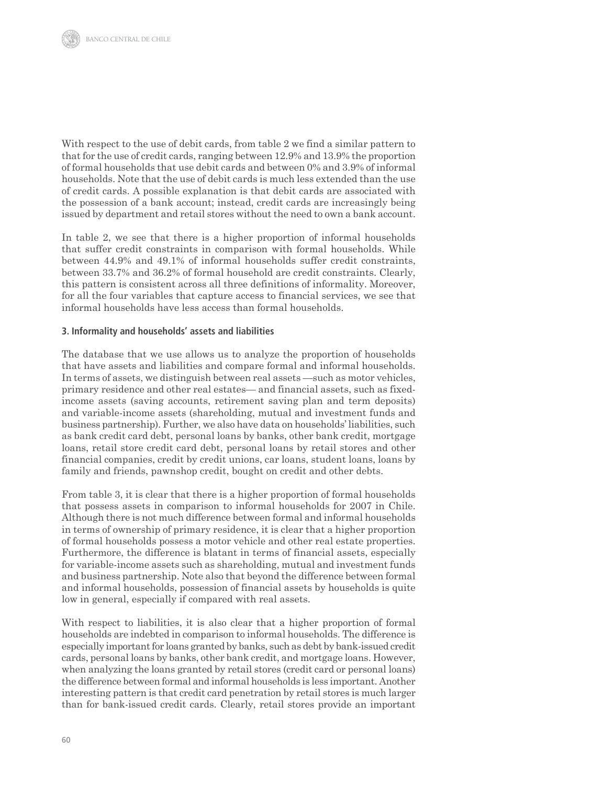With respect to the use of debit cards, from table 2 we find a similar pattern to that for the use of credit cards, ranging between 12.9% and 13.9% the proportion of formal households that use debit cards and between 0% and 3.9% of informal households. Note that the use of debit cards is much less extended than the use of credit cards. A possible explanation is that debit cards are associated with the possession of a bank account; instead, credit cards are increasingly being issued by department and retail stores without the need to own a bank account.

In table 2, we see that there is a higher proportion of informal households that suffer credit constraints in comparison with formal households. While between 44.9% and 49.1% of informal households suffer credit constraints, between 33.7% and 36.2% of formal household are credit constraints. Clearly, this pattern is consistent across all three definitions of informality. Moreover, for all the four variables that capture access to financial services, we see that informal households have less access than formal households.

#### **3. Informality and households' assets and liabilities**

The database that we use allows us to analyze the proportion of households that have assets and liabilities and compare formal and informal households. In terms of assets, we distinguish between real assets —such as motor vehicles, primary residence and other real estates— and financial assets, such as fixedincome assets (saving accounts, retirement saving plan and term deposits) and variable-income assets (shareholding, mutual and investment funds and business partnership). Further, we also have data on households' liabilities, such as bank credit card debt, personal loans by banks, other bank credit, mortgage loans, retail store credit card debt, personal loans by retail stores and other financial companies, credit by credit unions, car loans, student loans, loans by family and friends, pawnshop credit, bought on credit and other debts.

From table 3, it is clear that there is a higher proportion of formal households that possess assets in comparison to informal households for 2007 in Chile. Although there is not much difference between formal and informal households in terms of ownership of primary residence, it is clear that a higher proportion of formal households possess a motor vehicle and other real estate properties. Furthermore, the difference is blatant in terms of financial assets, especially for variable-income assets such as shareholding, mutual and investment funds and business partnership. Note also that beyond the difference between formal and informal households, possession of financial assets by households is quite low in general, especially if compared with real assets.

With respect to liabilities, it is also clear that a higher proportion of formal households are indebted in comparison to informal households. The difference is especially important for loans granted by banks, such as debt by bank-issued credit cards, personal loans by banks, other bank credit, and mortgage loans. However, when analyzing the loans granted by retail stores (credit card or personal loans) the difference between formal and informal households is less important. Another interesting pattern is that credit card penetration by retail stores is much larger than for bank-issued credit cards. Clearly, retail stores provide an important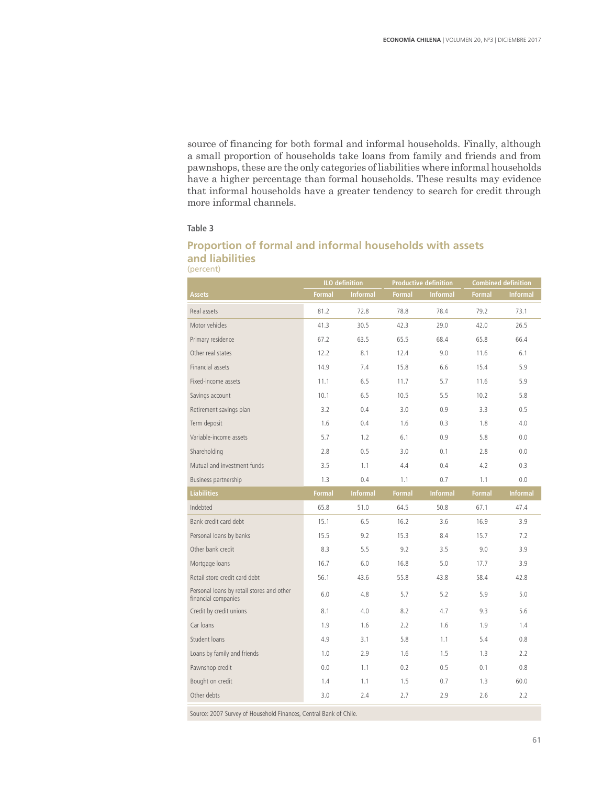source of financing for both formal and informal households. Finally, although a small proportion of households take loans from family and friends and from pawnshops, these are the only categories of liabilities where informal households have a higher percentage than formal households. These results may evidence that informal households have a greater tendency to search for credit through more informal channels.

#### **Table 3**

#### **Proportion of formal and informal households with assets and liabilities**  (percent)

**ILO definition Productive definition Combined definition Assets Formal Informal Formal Informal Formal Informal** Real assets 81.2 72.8 78.8 78.4 79.2 73.1 Motor vehicles 41.3 30.5 42.3 29.0 42.0 26.5 Primary residence 67.2 63.5 66.4 65.8 66.4 65.8 66.4 Other real states 12.2 8.1 12.4 9.0 11.6 6.1 Financial assets 14.9 7.4 15.8 6.6 15.4 5.9 Fixed-income assets 11.1 6.5 11.7 5.7 11.6 5.9 Savings account 10.1 6.5 10.5 5.5 10.2 5.8 Retirement savings plan 5.2 0.4 3.0 0.9 3.3 0.5 Term deposit 1.6 0.4 1.6 0.3 1.8 4.0 Variable-income assets 6.7 1.2 6.1 0.9 5.8 0.0 Shareholding 2.8 0.5 3.0 0.1 2.8 0.0 Mutual and investment funds 1.1 4.4 0.4 4.2 0.3 Business partnership 1.3 0.4 1.1 0.7 1.1 0.0 **Liabilities Formal Informal Formal Informal Formal Informal** Indebted 65.8 51.0 64.5 50.8 67.1 47.4 Bank credit card debt 15.1 6.5 16.2 3.6 16.9 3.9 Personal loans by banks 15.5 9.2 15.3 8.4 15.7 7.2 Other bank credit **8.3** 5.5 9.2 3.5 9.0 3.9 Mortgage loans 16.7 6.0 16.8 5.0 17.7 3.9 Retail store credit card debt **56.1** 43.6 55.8 43.8 58.4 42.8 Personal loans by retail stores and other Personal loans by retail stores and other the top of the companies the store of the store of the store of the store of the store of the store of the store of the store of the store of the store of the store of the store of Credit by credit unions 8.1 4.0 8.2 4.7 9.3 5.6 Car loans 1.9 1.9 1.6 2.2 1.6 1.9 1.4 Student loans 1.1 5.8 1.1 5.4 0.8 Loans by family and friends 1.0 2.9 1.6 1.5 1.3 2.2 Pawnshop credit 0.0 1.1 0.2 0.5 0.1 0.8 Bought on credit 1.4 1.1 1.5 0.7 1.3 60.0 Other debts 3.0 2.4 2.7 2.9 2.6 2.2

Source: 2007 Survey of Household Finances, Central Bank of Chile.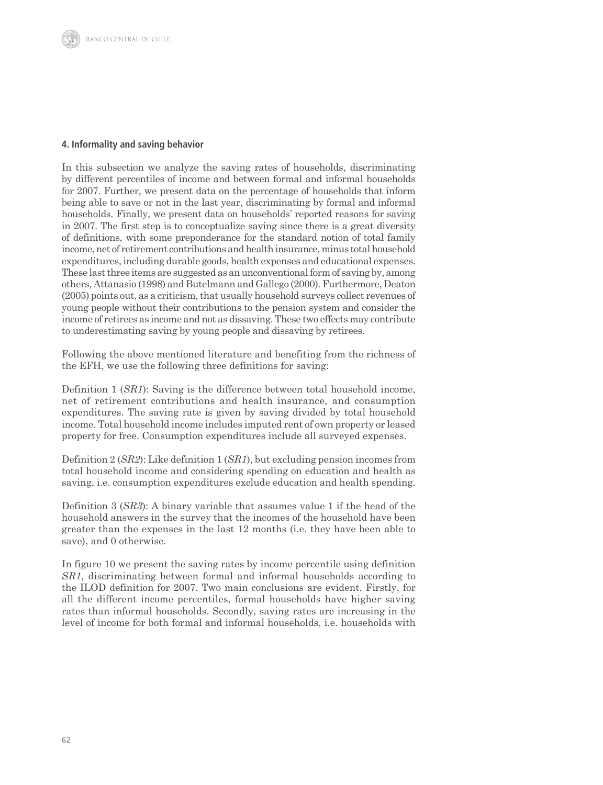#### **4. Informality and saving behavior**

In this subsection we analyze the saving rates of households, discriminating by different percentiles of income and between formal and informal households for 2007. Further, we present data on the percentage of households that inform being able to save or not in the last year, discriminating by formal and informal households. Finally, we present data on households' reported reasons for saving in 2007. The first step is to conceptualize saving since there is a great diversity of definitions, with some preponderance for the standard notion of total family income, net of retirement contributions and health insurance, minus total household expenditures, including durable goods, health expenses and educational expenses. These last three items are suggested as an unconventional form of saving by, among others, Attanasio (1998) and Butelmann and Gallego (2000). Furthermore, Deaton (2005) points out, as a criticism, that usually household surveys collect revenues of young people without their contributions to the pension system and consider the income of retirees as income and not as dissaving. These two effects may contribute to underestimating saving by young people and dissaving by retirees.

Following the above mentioned literature and benefiting from the richness of the EFH, we use the following three definitions for saving:

Definition 1 (*SR1*): Saving is the difference between total household income, net of retirement contributions and health insurance, and consumption expenditures. The saving rate is given by saving divided by total household income. Total household income includes imputed rent of own property or leased property for free. Consumption expenditures include all surveyed expenses.

Definition 2 (*SR2*): Like definition 1 (*SR1*), but excluding pension incomes from total household income and considering spending on education and health as saving, i.e. consumption expenditures exclude education and health spending.

Definition 3 (*SR3*): A binary variable that assumes value 1 if the head of the household answers in the survey that the incomes of the household have been greater than the expenses in the last 12 months (i.e. they have been able to save), and 0 otherwise.

In figure 10 we present the saving rates by income percentile using definition *SR1*, discriminating between formal and informal households according to the ILOD definition for 2007. Two main conclusions are evident. Firstly, for all the different income percentiles, formal households have higher saving rates than informal households. Secondly, saving rates are increasing in the level of income for both formal and informal households, i.e. households with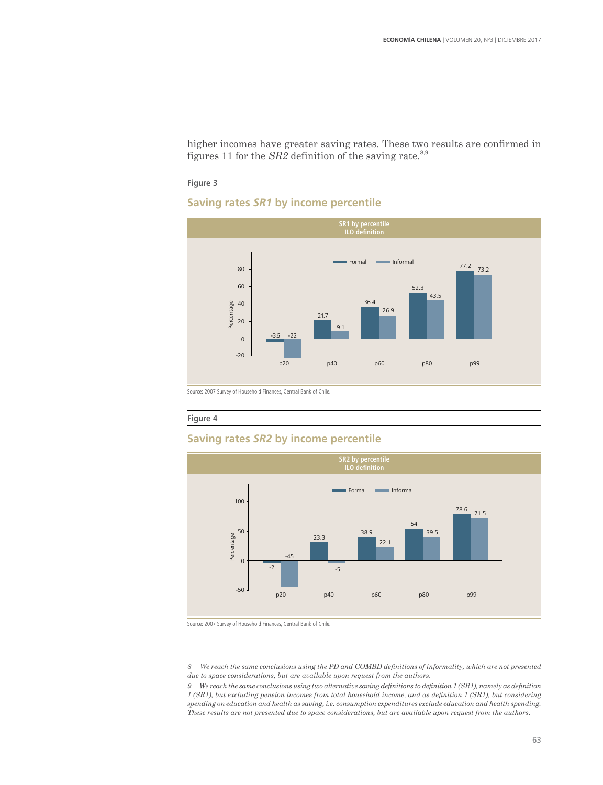higher incomes have greater saving rates. These two results are confirmed in figures 11 for the  $SR2$  definition of the saving rate.<sup>8,9</sup>

#### **Figure 3**

#### **Saving rates** *SR1* **by income percentile**



Source: 2007 Survey of Household Finances, Central Bank of Chile.

#### **Figure 4**

#### **Saving rates** *SR2* **by income percentile**



Source: 2007 Survey of Household Finances, Central Bank of Chile.

8 We reach the same conclusions using the PD and COMBD definitions of informality, which are not presented *due to space considerations, but are available upon request from the authors.*

9 We reach the same conclusions using two alternative saving definitions to definition 1 (SR1), namely as definition 1 (SR1), but excluding pension incomes from total household income, and as definition 1 (SR1), but considering *spending on education and health as saving, i.e. consumption expenditures exclude education and health spending.* These results are not presented due to space considerations, but are available upon request from the authors.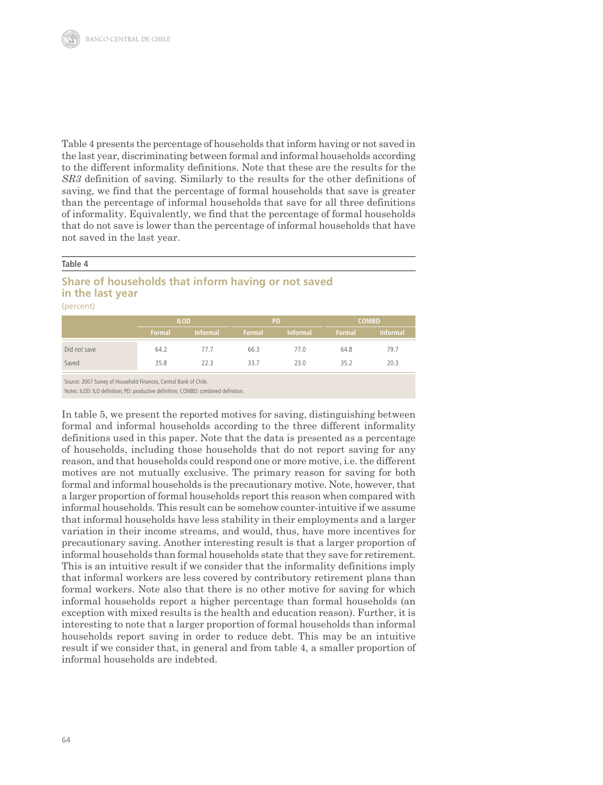Table 4 presents the percentage of households that inform having or not saved in the last year, discriminating between formal and informal households according to the different informality definitions. Note that these are the results for the *SR3* definition of saving. Similarly to the results for the other definitions of saving, we find that the percentage of formal households that save is greater than the percentage of informal households that save for all three definitions of informality. Equivalently, we find that the percentage of formal households that do not save is lower than the percentage of informal households that have not saved in the last year.

#### **Table 4**

## **Share of households that inform having or not saved in the last year**

(percent)

|              | <b>ILOD</b>   |                 |        | <b>PD</b>       | <b>COMBD</b>  |                 |
|--------------|---------------|-----------------|--------|-----------------|---------------|-----------------|
|              | <b>Formal</b> | <b>Informal</b> | Formal | <b>Informal</b> | <b>Formal</b> | <b>Informal</b> |
| Did not save | 64.2          | 77.7            | 66.3   | 77.0            | 64.8          | 79.7            |
| Saved        | 35.8          | 22.3            | 33.7   | 23.0            | 35.2          | 20.3            |
|              |               |                 |        |                 |               |                 |

Source: 2007 Survey of Household Finances, Central Bank of Chile.

Notes: ILOD: ILO definition; PD: productive definition; COMBD: combined definition.

In table 5, we present the reported motives for saving, distinguishing between formal and informal households according to the three different informality definitions used in this paper. Note that the data is presented as a percentage of households, including those households that do not report saving for any reason, and that households could respond one or more motive, i.e. the different motives are not mutually exclusive. The primary reason for saving for both formal and informal households is the precautionary motive. Note, however, that a larger proportion of formal households report this reason when compared with informal households. This result can be somehow counter-intuitive if we assume that informal households have less stability in their employments and a larger variation in their income streams, and would, thus, have more incentives for precautionary saving. Another interesting result is that a larger proportion of informal households than formal households state that they save for retirement. This is an intuitive result if we consider that the informality definitions imply that informal workers are less covered by contributory retirement plans than formal workers. Note also that there is no other motive for saving for which informal households report a higher percentage than formal households (an exception with mixed results is the health and education reason). Further, it is interesting to note that a larger proportion of formal households than informal households report saving in order to reduce debt. This may be an intuitive result if we consider that, in general and from table 4, a smaller proportion of informal households are indebted.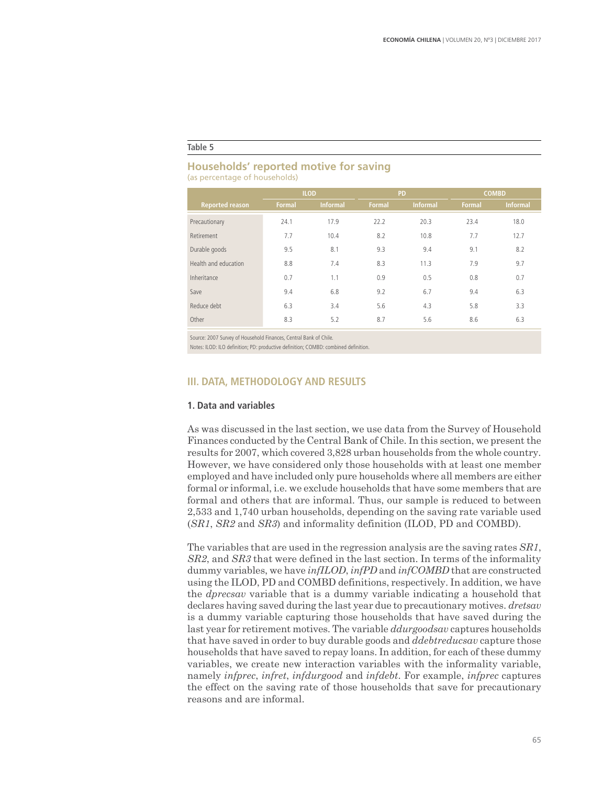#### **Table 5**

#### **Households' reported motive for saving** (as percentage of households)

|                        | <b>ILOD</b>   |                 |               | <b>PD</b> | <b>COMBD</b>  |                 |
|------------------------|---------------|-----------------|---------------|-----------|---------------|-----------------|
| <b>Reported reason</b> | <b>Formal</b> | <b>Informal</b> | <b>Formal</b> | Informal  | <b>Formal</b> | <b>Informal</b> |
| Precautionary          | 24.1          | 17.9            | 22.2          | 20.3      | 23.4          | 18.0            |
| Retirement             | 7.7           | 10.4            | 8.2           | 10.8      | 7.7           | 12.7            |
| Durable goods          | 9.5           | 8.1             | 9.3           | 9.4       | 9.1           | 8.2             |
| Health and education   | 8.8           | 7.4             | 8.3           | 11.3      | 7.9           | 9.7             |
| Inheritance            | 0.7           | 1.1             | 0.9           | 0.5       | 0.8           | 0.7             |
| Save                   | 9.4           | 6.8             | 9.2           | 6.7       | 9.4           | 6.3             |
| Reduce debt            | 6.3           | 3.4             | 5.6           | 4.3       | 5.8           | 3.3             |
| Other                  | 8.3           | 5.2             | 8.7           | 5.6       | 8.6           | 6.3             |

Source: 2007 Survey of Household Finances, Central Bank of Chile.

Notes: ILOD: ILO definition; PD: productive definition; COMBD: combined definition.

#### **III. DATA, METHODOLOGY AND RESULTS**

#### **1. Data and variables**

As was discussed in the last section, we use data from the Survey of Household Finances conducted by the Central Bank of Chile. In this section, we present the results for 2007, which covered 3,828 urban households from the whole country. However, we have considered only those households with at least one member employed and have included only pure households where all members are either formal or informal, i.e. we exclude households that have some members that are formal and others that are informal. Thus, our sample is reduced to between 2,533 and 1,740 urban households, depending on the saving rate variable used (*SR1*, *SR2* and *SR3*) and informality definition (ILOD, PD and COMBD).

The variables that are used in the regression analysis are the saving rates *SR1*, *SR2*, and *SR3* that were defined in the last section. In terms of the informality dummy variables, we have *infILOD*, *infPD* and *infCOMBD* that are constructed using the ILOD, PD and COMBD definitions, respectively. In addition, we have the *dprecsav* variable that is a dummy variable indicating a household that declares having saved during the last year due to precautionary motives. *dretsav* is a dummy variable capturing those households that have saved during the last year for retirement motives. The variable *ddurgoodsav* captures households that have saved in order to buy durable goods and *ddebtreducsav* capture those households that have saved to repay loans. In addition, for each of these dummy variables, we create new interaction variables with the informality variable, namely *infprec*, *infret*, *infdurgood* and *infdebt*. For example, *infprec* captures the effect on the saving rate of those households that save for precautionary reasons and are informal.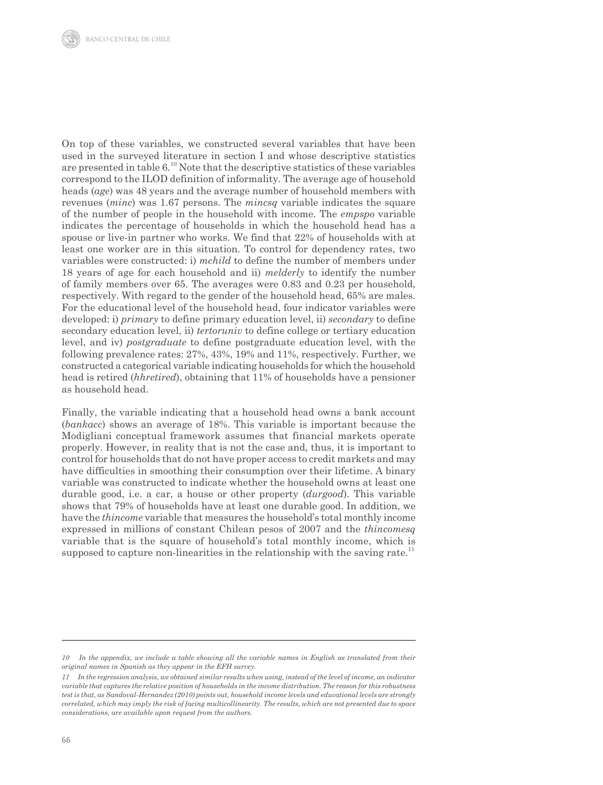On top of these variables, we constructed several variables that have been used in the surveyed literature in section I and whose descriptive statistics are presented in table 6.10 Note that the descriptive statistics of these variables correspond to the ILOD definition of informality. The average age of household heads (*age*) was 48 years and the average number of household members with revenues (*minc*) was 1.67 persons. The *mincsq* variable indicates the square of the number of people in the household with income. The *empspo* variable indicates the percentage of households in which the household head has a spouse or live-in partner who works. We find that 22% of households with at least one worker are in this situation. To control for dependency rates, two variables were constructed: i) *mchild* to define the number of members under 18 years of age for each household and ii) *melderly* to identify the number of family members over 65. The averages were 0.83 and 0.23 per household, respectively. With regard to the gender of the household head, 65% are males. For the educational level of the household head, four indicator variables were developed: i) *primary* to define primary education level, ii) *secondary* to define secondary education level, ii) *tertoruniv* to define college or tertiary education level, and iv) *postgraduate* to define postgraduate education level, with the following prevalence rates: 27%, 43%, 19% and 11%, respectively. Further, we constructed a categorical variable indicating households for which the household head is retired (*hhretired*), obtaining that 11% of households have a pensioner as household head.

Finally, the variable indicating that a household head owns a bank account (*bankacc*) shows an average of 18%. This variable is important because the Modigliani conceptual framework assumes that financial markets operate properly. However, in reality that is not the case and, thus, it is important to control for households that do not have proper access to credit markets and may have difficulties in smoothing their consumption over their lifetime. A binary variable was constructed to indicate whether the household owns at least one durable good, i.e. a car, a house or other property (*durgood*). This variable shows that 79% of households have at least one durable good. In addition, we have the *thincome* variable that measures the household's total monthly income expressed in millions of constant Chilean pesos of 2007 and the *thincomesq* variable that is the square of household's total monthly income, which is supposed to capture non-linearities in the relationship with the saving rate.<sup>11</sup>

<sup>10</sup> In the appendix, we include a table showing all the variable names in English as translated from their *original names in Spanish as they appear in the EFH survey.*

<sup>11</sup> In the regression analysis, we obtained similar results when using, instead of the level of income, an indicator variable that captures the relative position of households in the income distribution. The reason for this robustness test is that, as Sandoval-Hernandez (2010) points out, household income levels and educational levels are strongly correlated, which may imply the risk of facing multicollinearity. The results, which are not presented due to space *considerations, are available upon request from the authors.*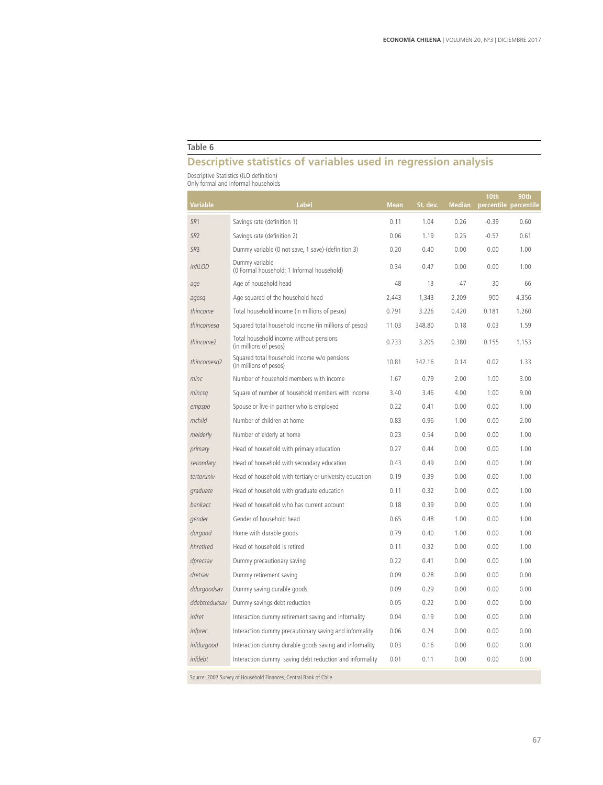#### **Table 6**

## **Descriptive statistics of variables used in regression analysis**

Descriptive Statistics (ILO definition)

Only formal and informal households

| <b>Variable</b> | <b>Label</b>                                                          | <b>Mean</b> | St. dev. | <b>Median</b> | 10th<br>percentile percentile | 90th  |
|-----------------|-----------------------------------------------------------------------|-------------|----------|---------------|-------------------------------|-------|
| SR1             | Savings rate (definition 1)                                           | 0.11        | 1.04     | 0.26          | $-0.39$                       | 0.60  |
| SR <sub>2</sub> | Savings rate (definition 2)                                           | 0.06        | 1.19     | 0.25          | $-0.57$                       | 0.61  |
| SR <sub>3</sub> | Dummy variable (0 not save, 1 save)-(definition 3)                    | 0.20        | 0.40     | 0.00          | 0.00                          | 1.00  |
| infILOD         | Dummy variable<br>(0 Formal household; 1 Informal household)          | 0.34        | 0.47     | 0.00          | 0.00                          | 1.00  |
| age             | Age of household head                                                 | 48          | 13       | 47            | 30                            | 66    |
| agesg           | Age squared of the household head                                     | 2,443       | 1,343    | 2,209         | 900                           | 4,356 |
| thincome        | Total household income (in millions of pesos)                         | 0.791       | 3.226    | 0.420         | 0.181                         | 1.260 |
| thincomesq      | Squared total household income (in millions of pesos)                 | 11.03       | 348.80   | 0.18          | 0.03                          | 1.59  |
| thincome2       | Total household income without pensions<br>(in millions of pesos)     | 0.733       | 3.205    | 0.380         | 0.155                         | 1.153 |
| thincomesq2     | Squared total household income w/o pensions<br>(in millions of pesos) | 10.81       | 342.16   | 0.14          | 0.02                          | 1.33  |
| minc            | Number of household members with income                               | 1.67        | 0.79     | 2.00          | 1.00                          | 3.00  |
| mincsq          | Square of number of household members with income                     | 3.40        | 3.46     | 4.00          | 1.00                          | 9.00  |
| empspo          | Spouse or live-in partner who is employed                             | 0.22        | 0.41     | 0.00          | 0.00                          | 1.00  |
| mchild          | Number of children at home                                            | 0.83        | 0.96     | 1.00          | 0.00                          | 2.00  |
| melderly        | Number of elderly at home                                             | 0.23        | 0.54     | 0.00          | 0.00                          | 1.00  |
| primary         | Head of household with primary education                              | 0.27        | 0.44     | 0.00          | 0.00                          | 1.00  |
| secondary       | Head of household with secondary education                            | 0.43        | 0.49     | 0.00          | 0.00                          | 1.00  |
| tertoruniv      | Head of household with tertiary or university education               | 0.19        | 0.39     | 0.00          | 0.00                          | 1.00  |
| graduate        | Head of household with graduate education                             | 0.11        | 0.32     | 0.00          | 0.00                          | 1.00  |
| bankacc         | Head of household who has current account                             | 0.18        | 0.39     | 0.00          | 0.00                          | 1.00  |
| gender          | Gender of household head                                              | 0.65        | 0.48     | 1.00          | 0.00                          | 1.00  |
| durgood         | Home with durable goods                                               | 0.79        | 0.40     | 1.00          | 0.00                          | 1.00  |
| hhretired       | Head of household is retired                                          | 0.11        | 0.32     | 0.00          | 0.00                          | 1.00  |
| dprecsav        | Dummy precautionary saving                                            | 0.22        | 0.41     | 0.00          | 0.00                          | 1.00  |
| dretsav         | Dummy retirement saving                                               | 0.09        | 0.28     | 0.00          | 0.00                          | 0.00  |
| ddurgoodsav     | Dummy saving durable goods                                            | 0.09        | 0.29     | 0.00          | 0.00                          | 0.00  |
| ddebtreducsav   | Dummy savings debt reduction                                          | 0.05        | 0.22     | 0.00          | 0.00                          | 0.00  |
| infret          | Interaction dummy retirement saving and informality                   | 0.04        | 0.19     | 0.00          | 0.00                          | 0.00  |
| infprec         | Interaction dummy precautionary saving and informality                | 0.06        | 0.24     | 0.00          | 0.00                          | 0.00  |
| infdurgood      | Interaction dummy durable goods saving and informality                | 0.03        | 0.16     | 0.00          | 0.00                          | 0.00  |
| infdebt         | Interaction dummy saving debt reduction and informality               | 0.01        | 0.11     | 0.00          | 0.00                          | 0.00  |

Source: 2007 Survey of Household Finances, Central Bank of Chile.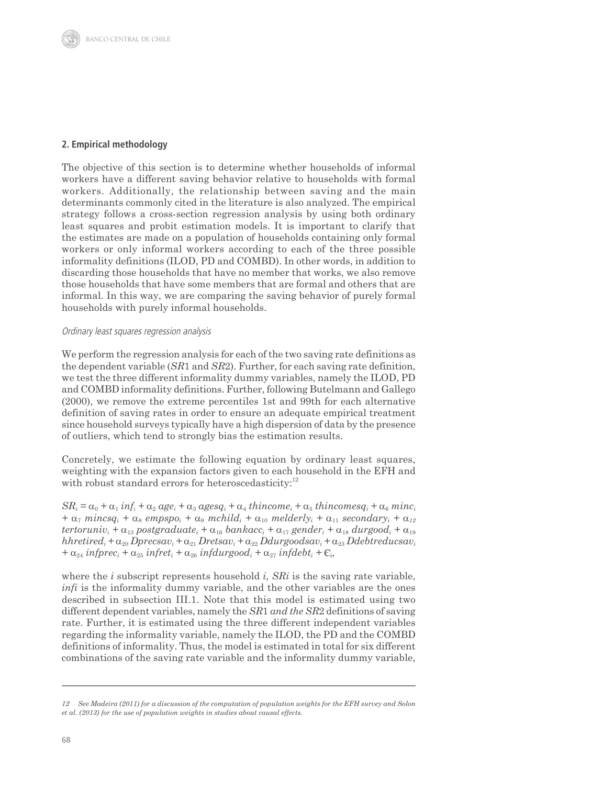#### **2. Empirical methodology**

The objective of this section is to determine whether households of informal workers have a different saving behavior relative to households with formal workers. Additionally, the relationship between saving and the main determinants commonly cited in the literature is also analyzed. The empirical strategy follows a cross-section regression analysis by using both ordinary least squares and probit estimation models. It is important to clarify that the estimates are made on a population of households containing only formal workers or only informal workers according to each of the three possible informality definitions (ILOD, PD and COMBD). In other words, in addition to discarding those households that have no member that works, we also remove those households that have some members that are formal and others that are informal. In this way, we are comparing the saving behavior of purely formal households with purely informal households.

#### Ordinary least squares regression analysis

We perform the regression analysis for each of the two saving rate definitions as the dependent variable (*SR*1 and *SR*2). Further, for each saving rate definition, we test the three different informality dummy variables, namely the ILOD, PD and COMBD informality definitions. Further, following Butelmann and Gallego (2000), we remove the extreme percentiles 1st and 99th for each alternative definition of saving rates in order to ensure an adequate empirical treatment since household surveys typically have a high dispersion of data by the presence of outliers, which tend to strongly bias the estimation results.

Concretely, we estimate the following equation by ordinary least squares, weighting with the expansion factors given to each household in the EFH and with robust standard errors for heteroscedasticity:<sup>12</sup>

 $SR_i = \alpha_0 + \alpha_1 inf_i + \alpha_2 age_i + \alpha_3 ages_i + \alpha_4 thincome_i + \alpha_5 thincomesq_i + \alpha_6 mine_i$  $+\alpha_7$  *mincsq<sub>i</sub>* +  $\alpha_8$  *empspo<sub>i</sub>* +  $\alpha_9$  *mchild<sub>i</sub>* +  $\alpha_{10}$  *melderly<sub>i</sub>* +  $\alpha_{11}$  *secondary<sub>i</sub>* +  $\alpha_{12}$  $t$ ertoruniv<sub>i</sub> +  $\alpha_{13}$  postgraduate<sub>i</sub> +  $\alpha_{16}$  bankacc<sub>i</sub> +  $\alpha_{17}$  gender<sub>i</sub> +  $\alpha_{18}$  durgood<sub>i</sub> +  $\alpha_{19}$  $h$ *hi*retired<sub>i</sub> +  $\alpha_{20}$ *Dprecsav*<sub>*i*</sub> +  $\alpha_{21}$ *Dretsav*<sub>*i*</sub> +  $\alpha_{22}$ *Ddurgoodsav*<sub>*i*</sub> +  $\alpha_{23}$ *Ddebtreducsav*<sub>*i*</sub>  $+ \alpha_{24}$  *infprec*<sub>*i*</sub>  $+ \alpha_{25}$  *infret<sub>i</sub>*  $+ \alpha_{26}$  *infdurgood<sub>i</sub>*  $+ \alpha_{27}$  *infdebt<sub>i</sub>*  $+ \epsilon_{i}$ *i*,

where the *i* subscript represents household *i, SRi* is the saving rate variable, *infi* is the informality dummy variable, and the other variables are the ones described in subsection III.1. Note that this model is estimated using two different dependent variables, namely the *SR*1 *and the SR*2 definitions of saving rate. Further, it is estimated using the three different independent variables regarding the informality variable, namely the ILOD, the PD and the COMBD definitions of informality. Thus, the model is estimated in total for six different combinations of the saving rate variable and the informality dummy variable,

<sup>12</sup> See Madeira (2011) for a discussion of the computation of population weights for the EFH survey and Solon *et al. (2013) for the use of population weights in studies about causal effects.*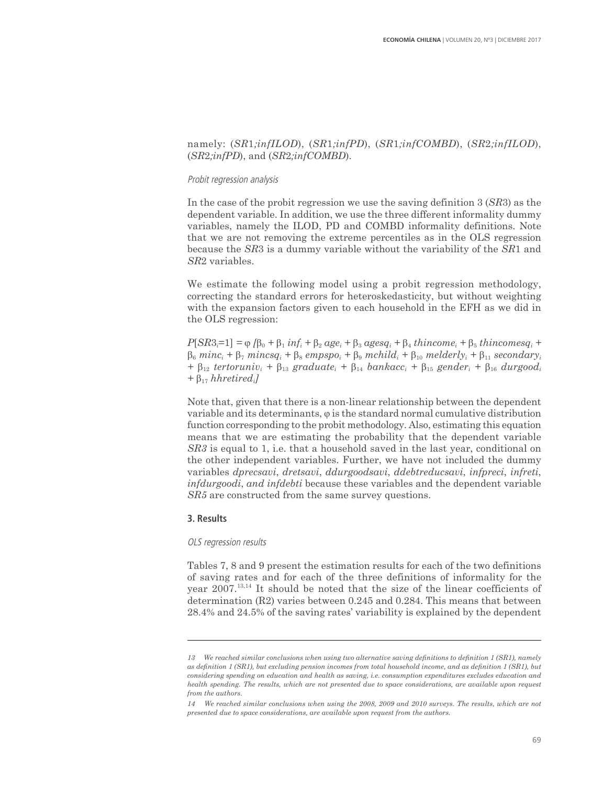#### namely: (*SR*1*;infILOD*), (*SR*1*;infPD*), (*SR*1*;infCOMBD*), (*SR*2*;infILOD*), (*SR*2*;infPD*), and (*SR*2*;infCOMBD*).

#### Probit regression analysis

In the case of the probit regression we use the saving definition 3 (*SR*3) as the dependent variable. In addition, we use the three different informality dummy variables, namely the ILOD, PD and COMBD informality definitions. Note that we are not removing the extreme percentiles as in the OLS regression because the *SR*3 is a dummy variable without the variability of the *SR*1 and *SR*2 variables.

We estimate the following model using a probit regression methodology, correcting the standard errors for heteroskedasticity, but without weighting with the expansion factors given to each household in the EFH as we did in the OLS regression:

 $P[SR3,=1] = \varphi \beta_0 + \beta_1 \inf_i + \beta_2 \text{ age}_i + \beta_3 \text{ ages}_i + \beta_4 \text{ thincome}_i + \beta_5 \text{ thincomes}_i + \beta_6 \text{ thincomes}_i$  $\beta_6$  *minc*<sub>*i*</sub> +  $\beta_7$  *mincsq*<sub>*i*</sub> +  $\beta_8$  *empspo*<sub>*i*</sub> +  $\beta_9$  *mchild*<sub>*i*</sub> +  $\beta_{10}$  *melderly*<sub>*i*</sub> +  $\beta_{11}$  *secondary*<sub>*i*</sub>  $+ \beta_{12}$  *tertoruniv<sub>i</sub>* +  $\beta_{13}$  *graduate<sub>i</sub>* +  $\beta_{14}$  *bankacc<sub>i</sub>* +  $\beta_{15}$  *gender<sub>i</sub>* +  $\beta_{16}$  *durgood<sub>i</sub>*  $+ \beta_{17}$ *hhretired<sub>i</sub>* 

Note that, given that there is a non-linear relationship between the dependent variable and its determinants,  $\varphi$  is the standard normal cumulative distribution function corresponding to the probit methodology. Also, estimating this equation means that we are estimating the probability that the dependent variable *SR3* is equal to 1, i.e. that a household saved in the last year, conditional on the other independent variables. Further, we have not included the dummy variables *dprecsavi*, *dretsavi*, *ddurgoodsavi*, *ddebtreducsavi*, *infpreci*, *infreti*, *infdurgoodi*, *and infdebti* because these variables and the dependent variable *SR5* are constructed from the same survey questions.

#### **3. Results**

#### OLS regression results

Tables 7, 8 and 9 present the estimation results for each of the two definitions of saving rates and for each of the three definitions of informality for the year 2007.13,14 It should be noted that the size of the linear coefficients of determination (R2) varies between 0.245 and 0.284. This means that between 28.4% and 24.5% of the saving rates' variability is explained by the dependent

*<sup>13</sup>  We reached similar conclusions when using two alternative saving definitions to definition 1 (SR1), namely* as definition 1 (SR1), but excluding pension incomes from total household income, and as definition 1 (SR1), but *considering spending on education and health as saving, i.e. consumption expenditures excludes education and health spending. The results, which are not presented due to space considerations, are available upon request from the authors.*

<sup>14</sup> We reached similar conclusions when using the 2008, 2009 and 2010 surveys. The results, which are not *presented due to space considerations, are available upon request from the authors.*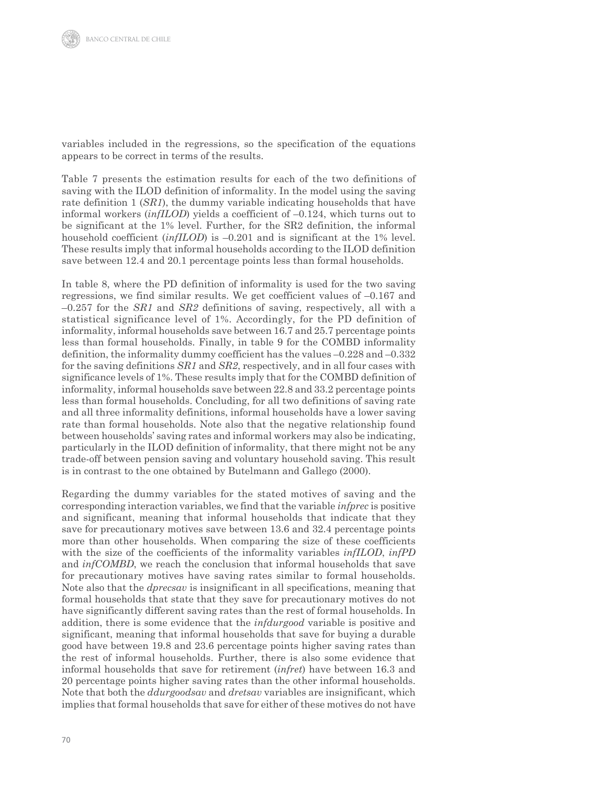variables included in the regressions, so the specification of the equations appears to be correct in terms of the results.

Table 7 presents the estimation results for each of the two definitions of saving with the ILOD definition of informality. In the model using the saving rate definition 1 (*SR1*), the dummy variable indicating households that have informal workers (*infILOD*) yields a coefficient of –0.124, which turns out to be significant at the 1% level. Further, for the SR2 definition, the informal household coefficient *(infILOD)* is  $-0.201$  and is significant at the 1% level. These results imply that informal households according to the ILOD definition save between 12.4 and 20.1 percentage points less than formal households.

In table 8, where the PD definition of informality is used for the two saving regressions, we find similar results. We get coefficient values of  $-0.167$  and –0.257 for the *SR1* and *SR2* definitions of saving, respectively, all with a statistical significance level of 1%. Accordingly, for the PD definition of informality, informal households save between 16.7 and 25.7 percentage points less than formal households. Finally, in table 9 for the COMBD informality definition, the informality dummy coefficient has the values –0.228 and –0.332 for the saving definitions *SR1* and *SR2*, respectively, and in all four cases with significance levels of 1%. These results imply that for the COMBD definition of informality, informal households save between 22.8 and 33.2 percentage points less than formal households. Concluding, for all two definitions of saving rate and all three informality definitions, informal households have a lower saving rate than formal households. Note also that the negative relationship found between households' saving rates and informal workers may also be indicating, particularly in the ILOD definition of informality, that there might not be any trade-off between pension saving and voluntary household saving. This result is in contrast to the one obtained by Butelmann and Gallego (2000).

Regarding the dummy variables for the stated motives of saving and the corresponding interaction variables, we find that the variable *infprec* is positive and significant, meaning that informal households that indicate that they save for precautionary motives save between 13.6 and 32.4 percentage points more than other households. When comparing the size of these coefficients with the size of the coefficients of the informality variables *infILOD*, *infPD* and *infCOMBD*, we reach the conclusion that informal households that save for precautionary motives have saving rates similar to formal households. Note also that the *dprecsav* is insignificant in all specifications, meaning that formal households that state that they save for precautionary motives do not have significantly different saving rates than the rest of formal households. In addition, there is some evidence that the *infdurgood* variable is positive and significant, meaning that informal households that save for buying a durable good have between 19.8 and 23.6 percentage points higher saving rates than the rest of informal households. Further, there is also some evidence that informal households that save for retirement (*infret*) have between 16.3 and 20 percentage points higher saving rates than the other informal households. Note that both the *ddurgoodsav* and *dretsav* variables are insignificant, which implies that formal households that save for either of these motives do not have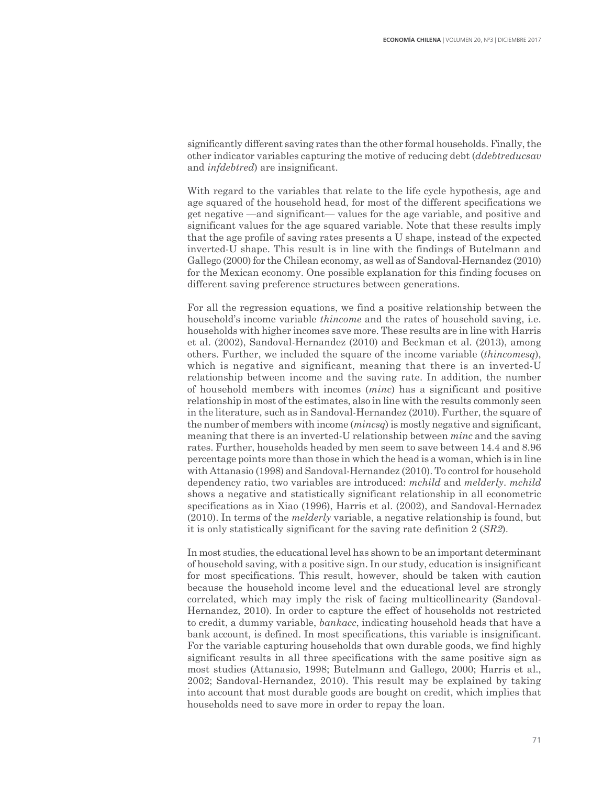significantly different saving rates than the other formal households. Finally, the other indicator variables capturing the motive of reducing debt (*ddebtreducsav* and *infdebtred*) are insignificant.

With regard to the variables that relate to the life cycle hypothesis, age and age squared of the household head, for most of the different specifications we get negative —and significant— values for the age variable, and positive and significant values for the age squared variable. Note that these results imply that the age profile of saving rates presents a U shape, instead of the expected inverted-U shape. This result is in line with the findings of Butelmann and Gallego (2000) for the Chilean economy, as well as of Sandoval-Hernandez (2010) for the Mexican economy. One possible explanation for this finding focuses on different saving preference structures between generations.

For all the regression equations, we find a positive relationship between the household's income variable *thincome* and the rates of household saving, i.e. households with higher incomes save more. These results are in line with Harris et al. (2002), Sandoval-Hernandez (2010) and Beckman et al. (2013), among others. Further, we included the square of the income variable (*thincomesq*), which is negative and significant, meaning that there is an inverted-U relationship between income and the saving rate. In addition, the number of household members with incomes (*minc*) has a significant and positive relationship in most of the estimates, also in line with the results commonly seen in the literature, such as in Sandoval-Hernandez (2010). Further, the square of the number of members with income (*mincsq*) is mostly negative and significant, meaning that there is an inverted-U relationship between *minc* and the saving rates. Further, households headed by men seem to save between 14.4 and 8.96 percentage points more than those in which the head is a woman, which is in line with Attanasio (1998) and Sandoval-Hernandez (2010). To control for household dependency ratio, two variables are introduced: *mchild* and *melderly*. *mchild* shows a negative and statistically significant relationship in all econometric specifications as in Xiao (1996), Harris et al. (2002), and Sandoval-Hernadez (2010). In terms of the *melderly* variable, a negative relationship is found, but it is only statistically significant for the saving rate definition 2 (*SR2*).

In most studies, the educational level has shown to be an important determinant of household saving, with a positive sign. In our study, education is insignificant for most specifications. This result, however, should be taken with caution because the household income level and the educational level are strongly correlated, which may imply the risk of facing multicollinearity (Sandoval-Hernandez, 2010). In order to capture the effect of households not restricted to credit, a dummy variable, *bankacc*, indicating household heads that have a bank account, is defined. In most specifications, this variable is insignificant. For the variable capturing households that own durable goods, we find highly significant results in all three specifications with the same positive sign as most studies (Attanasio, 1998; Butelmann and Gallego, 2000; Harris et al., 2002; Sandoval-Hernandez, 2010). This result may be explained by taking into account that most durable goods are bought on credit, which implies that households need to save more in order to repay the loan.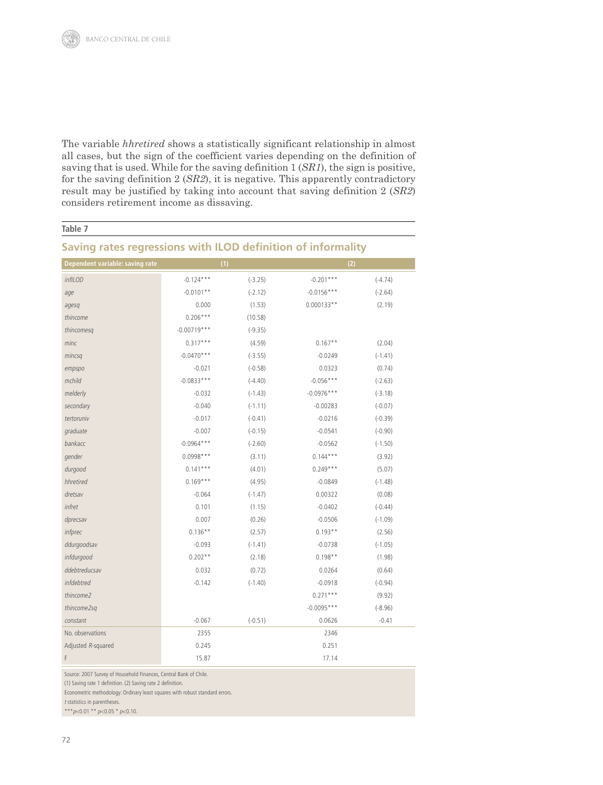The variable *hhretired* shows a statistically significant relationship in almost all cases, but the sign of the coefficient varies depending on the definition of saving that is used. While for the saving definition 1 (*SR1*), the sign is positive, for the saving definition 2 (*SR2*), it is negative. This apparently contradictory result may be justified by taking into account that saving definition 2 (*SR2*) considers retirement income as dissaving.

#### **Table 7**

#### **Saving rates regressions with ILOD definition of informality**

| Dependent variable: saving rate |               | (1)       |              | (2)       |
|---------------------------------|---------------|-----------|--------------|-----------|
| infILOD                         | $-0.124***$   | $(-3.25)$ | $-0.201***$  | $(-4.74)$ |
| age                             | $-0.0101**$   | $(-2.12)$ | $-0.0156***$ | $(-2.64)$ |
| agesq                           | 0.000         | (1.53)    | $0.000133**$ | (2.19)    |
| thincome                        | $0.206***$    | (10.58)   |              |           |
| thincomesq                      | $-0.00719***$ | $(-9.35)$ |              |           |
| minc                            | $0.317***$    | (4.59)    | $0.167**$    | (2.04)    |
| mincsq                          | $-0.0470***$  | $(-3.55)$ | $-0.0249$    | $(-1.41)$ |
| empspo                          | $-0.021$      | $(-0.58)$ | 0.0323       | (0.74)    |
| mchild                          | $-0.0833***$  | $(-4.40)$ | $-0.056***$  | $(-2.63)$ |
| melderly                        | $-0.032$      | $(-1.43)$ | $-0.0976***$ | $(-3.18)$ |
| secondary                       | $-0.040$      | $(-1.11)$ | $-0.00283$   | $(-0.07)$ |
| tertoruniv                      | $-0.017$      | $(-0.41)$ | $-0.0216$    | $(-0.39)$ |
| graduate                        | $-0.007$      | $(-0.15)$ | $-0.0541$    | $(-0.90)$ |
| bankacc                         | $-0.0964***$  | $(-2.60)$ | $-0.0562$    | $(-1.50)$ |
| gender                          | $0.0998***$   | (3.11)    | $0.144***$   | (3.92)    |
| durgood                         | $0.141***$    | (4.01)    | $0.249***$   | (5.07)    |
| hhretired                       | $0.169***$    | (4.95)    | $-0.0849$    | $(-1.48)$ |
| dretsav                         | $-0.064$      | $(-1.47)$ | 0.00322      | (0.08)    |
| infret                          | 0.101         | (1.15)    | $-0.0402$    | $(-0.44)$ |
| dprecsav                        | 0.007         | (0.26)    | $-0.0506$    | $(-1.09)$ |
| infprec                         | $0.136**$     | (2.57)    | $0.193**$    | (2.56)    |
| ddurgoodsav                     | $-0.093$      | $(-1.41)$ | $-0.0738$    | $(-1.05)$ |
| infdurgood                      | $0.202**$     | (2.18)    | $0.198**$    | (1.98)    |
| ddebtreducsav                   | 0.032         | (0.72)    | 0.0264       | (0.64)    |
| infdebtred                      | $-0.142$      | $(-1.40)$ | $-0.0918$    | $(-0.94)$ |
| thincome2                       |               |           | $0.271***$   | (9.92)    |
| thincome2sq                     |               |           | $-0.0095***$ | $(-8.96)$ |
| constant                        | $-0.067$      | $(-0.51)$ | 0.0626       | $-0.41$   |
| No. observations                | 2355          |           | 2346         |           |
| Adjusted R-squared              | 0.245         |           | 0.251        |           |
| F                               | 15.87         |           | 17.14        |           |

Source: 2007 Survey of Household Finances, Central Bank of Chile.

(1) Saving rate 1 definition. (2) Saving rate 2 definition.

Econometric methodology: Ordinary least squares with robust standard errors.

<sup>t</sup> statistics in parentheses.

\*\*\* $p$ <0.01 \*\*  $p$ <0.05 \*  $p$ <0.10.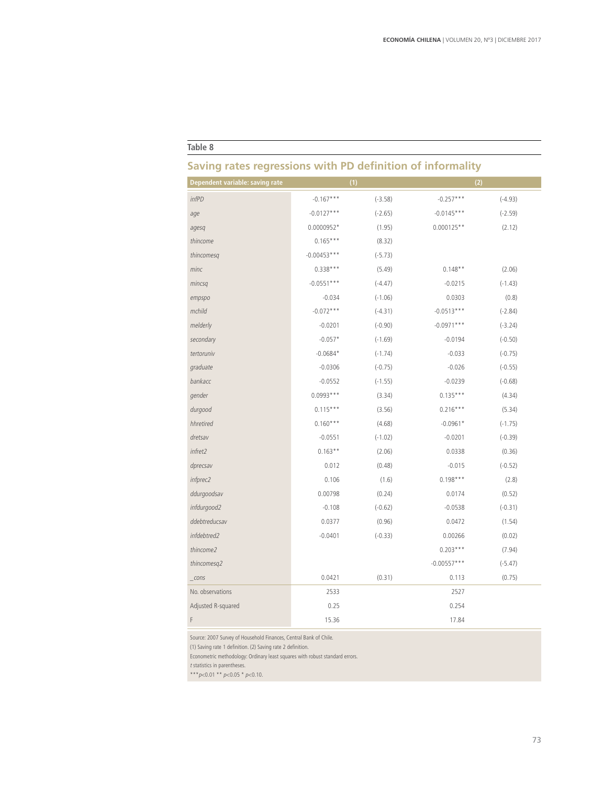#### **Table 8**

## **Saving rates regressions with PD definition of informality**

| Dependent variable: saving rate |               | (1)       |               | (2)       |
|---------------------------------|---------------|-----------|---------------|-----------|
| <i>infPD</i>                    | $-0.167***$   | $(-3.58)$ | $-0.257***$   | $(-4.93)$ |
| age                             | $-0.0127***$  | $(-2.65)$ | $-0.0145***$  | $(-2.59)$ |
| agesq                           | $0.0000952*$  | (1.95)    | $0.000125**$  | (2.12)    |
| thincome                        | $0.165***$    | (8.32)    |               |           |
| thincomesq                      | $-0.00453***$ | $(-5.73)$ |               |           |
| minc                            | $0.338***$    | (5.49)    | $0.148**$     | (2.06)    |
| mincsq                          | $-0.0551***$  | $(-4.47)$ | $-0.0215$     | $(-1.43)$ |
| empspo                          | $-0.034$      | $(-1.06)$ | 0.0303        | (0.8)     |
| mchild                          | $-0.072***$   | $(-4.31)$ | $-0.0513***$  | $(-2.84)$ |
| melderly                        | $-0.0201$     | $(-0.90)$ | $-0.0971***$  | $(-3.24)$ |
| secondary                       | $-0.057*$     | $(-1.69)$ | $-0.0194$     | $(-0.50)$ |
| tertoruniv                      | $-0.0684*$    | $(-1.74)$ | $-0.033$      | $(-0.75)$ |
| graduate                        | $-0.0306$     | $(-0.75)$ | $-0.026$      | $(-0.55)$ |
| bankacc                         | $-0.0552$     | $(-1.55)$ | $-0.0239$     | $(-0.68)$ |
| gender                          | $0.0993***$   | (3.34)    | $0.135***$    | (4.34)    |
| durgood                         | $0.115***$    | (3.56)    | $0.216***$    | (5.34)    |
| hhretired                       | $0.160***$    | (4.68)    | $-0.0961*$    | $(-1.75)$ |
| dretsav                         | $-0.0551$     | $(-1.02)$ | $-0.0201$     | $(-0.39)$ |
| infret2                         | $0.163**$     | (2.06)    | 0.0338        | (0.36)    |
| dprecsav                        | 0.012         | (0.48)    | $-0.015$      | $(-0.52)$ |
| infprec2                        | 0.106         | (1.6)     | $0.198***$    | (2.8)     |
| ddurgoodsav                     | 0.00798       | (0.24)    | 0.0174        | (0.52)    |
| infdurgood2                     | $-0.108$      | $(-0.62)$ | $-0.0538$     | $(-0.31)$ |
| ddebtreducsav                   | 0.0377        | (0.96)    | 0.0472        | (1.54)    |
| infdebtred2                     | $-0.0401$     | $(-0.33)$ | 0.00266       | (0.02)    |
| thincome2                       |               |           | $0.203***$    | (7.94)    |
| thincomesq2                     |               |           | $-0.00557***$ | $(-5.47)$ |
| $\_cons$                        | 0.0421        | (0.31)    | 0.113         | (0.75)    |
| No. observations                | 2533          |           | 2527          |           |
| Adjusted R-squared              | 0.25          |           | 0.254         |           |
| F                               | 15.36         |           | 17.84         |           |

Source: 2007 Survey of Household Finances, Central Bank of Chile.

(1) Saving rate 1 definition. (2) Saving rate 2 definition.

Econometric methodology: Ordinary least squares with robust standard errors.

<sup>t</sup> statistics in parentheses.

\*\*\* $p$ <0.01 \*\*  $p$ <0.05 \*  $p$ <0.10.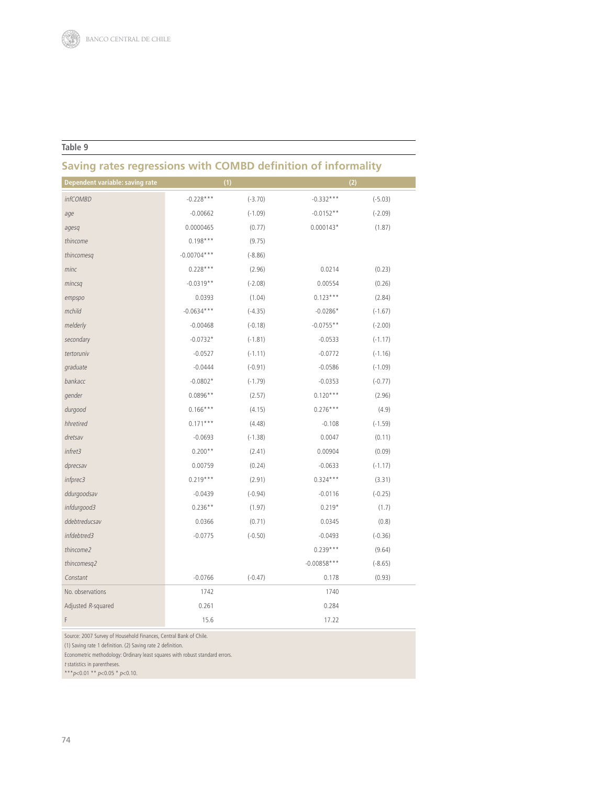#### **Table 9**

## **Saving rates regressions with COMBD definition of informality**

| Dependent variable: saving rate |               | (1)       |               | (2)       |
|---------------------------------|---------------|-----------|---------------|-----------|
| <i>infCOMBD</i>                 | $-0.228***$   | $(-3.70)$ | $-0.332***$   | $(-5.03)$ |
| age                             | $-0.00662$    | $(-1.09)$ | $-0.0152**$   | $(-2.09)$ |
| agesq                           | 0.0000465     | (0.77)    | $0.000143*$   | (1.87)    |
| thincome                        | $0.198***$    | (9.75)    |               |           |
| thincomesq                      | $-0.00704***$ | $(-8.86)$ |               |           |
| minc                            | $0.228***$    | (2.96)    | 0.0214        | (0.23)    |
| mincsq                          | $-0.0319**$   | $(-2.08)$ | 0.00554       | (0.26)    |
| empspo                          | 0.0393        | (1.04)    | $0.123***$    | (2.84)    |
| mchild                          | $-0.0634***$  | $(-4.35)$ | $-0.0286*$    | $(-1.67)$ |
| melderly                        | $-0.00468$    | $(-0.18)$ | $-0.0755**$   | $(-2.00)$ |
| secondary                       | $-0.0732*$    | $(-1.81)$ | $-0.0533$     | $(-1.17)$ |
| tertoruniv                      | $-0.0527$     | $(-1.11)$ | $-0.0772$     | $(-1.16)$ |
| graduate                        | $-0.0444$     | $(-0.91)$ | $-0.0586$     | $(-1.09)$ |
| bankacc                         | $-0.0802*$    | $(-1.79)$ | $-0.0353$     | $(-0.77)$ |
| gender                          | $0.0896**$    | (2.57)    | $0.120***$    | (2.96)    |
| durgood                         | $0.166***$    | (4.15)    | $0.276***$    | (4.9)     |
| hhretired                       | $0.171***$    | (4.48)    | $-0.108$      | $(-1.59)$ |
| dretsav                         | $-0.0693$     | $(-1.38)$ | 0.0047        | (0.11)    |
| infret3                         | $0.200**$     | (2.41)    | 0.00904       | (0.09)    |
| dprecsav                        | 0.00759       | (0.24)    | $-0.0633$     | $(-1.17)$ |
| infprec3                        | $0.219***$    | (2.91)    | $0.324***$    | (3.31)    |
| ddurgoodsav                     | $-0.0439$     | $(-0.94)$ | $-0.0116$     | $(-0.25)$ |
| infdurgood3                     | $0.236**$     | (1.97)    | $0.219*$      | (1.7)     |
| ddebtreducsav                   | 0.0366        | (0.71)    | 0.0345        | (0.8)     |
| infdebtred3                     | $-0.0775$     | $(-0.50)$ | $-0.0493$     | $(-0.36)$ |
| thincome2                       |               |           | $0.239***$    | (9.64)    |
| thincomesq2                     |               |           | $-0.00858***$ | $(-8.65)$ |
| Constant                        | $-0.0766$     | $(-0.47)$ | 0.178         | (0.93)    |
| No. observations                | 1742          |           | 1740          |           |
| Adjusted R-squared              | 0.261         |           | 0.284         |           |
| F                               | 15.6          |           | 17.22         |           |

Source: 2007 Survey of Household Finances, Central Bank of Chile.

(1) Saving rate 1 definition. (2) Saving rate 2 definition.

Econometric methodology: Ordinary least squares with robust standard errors.

 $t$  statistics in parentheses.

\*\*\* $p<0.01$ \*\*  $p<0.05$ \*  $p<0.10$ .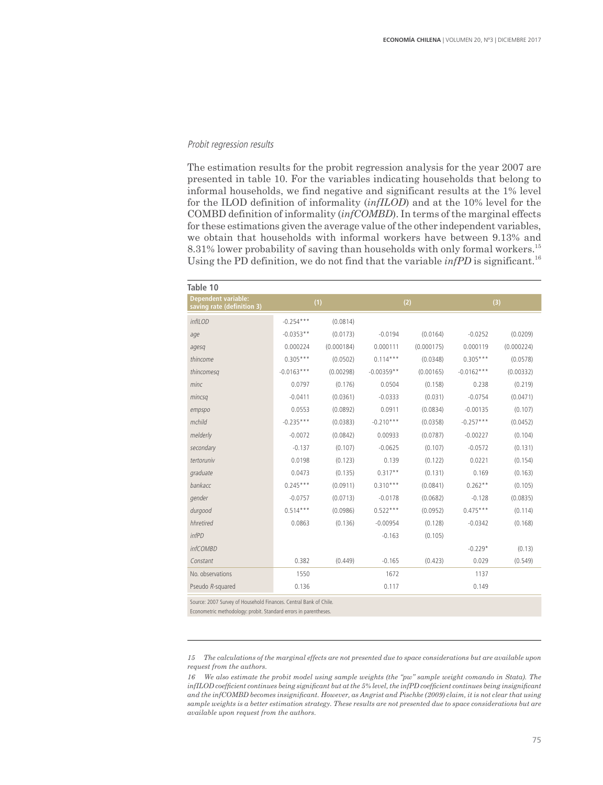#### Probit regression results

The estimation results for the probit regression analysis for the year 2007 are presented in table 10. For the variables indicating households that belong to informal households, we find negative and significant results at the 1% level for the ILOD definition of informality (*infILOD*) and at the 10% level for the COMBD definition of informality (*infCOMBD*). In terms of the marginal effects for these estimations given the average value of the other independent variables, we obtain that households with informal workers have between 9.13% and 8.31% lower probability of saving than households with only formal workers.<sup>15</sup> Using the PD definition, we do not find that the variable *infPD* is significant.<sup>16</sup>

| Table 10                                                 |              |            |              |            |              |            |
|----------------------------------------------------------|--------------|------------|--------------|------------|--------------|------------|
| <b>Dependent variable:</b><br>saving rate (definition 3) | (1)          |            |              | (2)        | (3)          |            |
| infILOD                                                  | $-0.254***$  | (0.0814)   |              |            |              |            |
| age                                                      | $-0.0353**$  | (0.0173)   | $-0.0194$    | (0.0164)   | $-0.0252$    | (0.0209)   |
| agesq                                                    | 0.000224     | (0.000184) | 0.000111     | (0.000175) | 0.000119     | (0.000224) |
| thincome                                                 | $0.305***$   | (0.0502)   | $0.114***$   | (0.0348)   | $0.305***$   | (0.0578)   |
| thincomesq                                               | $-0.0163***$ | (0.00298)  | $-0.00359**$ | (0.00165)  | $-0.0162***$ | (0.00332)  |
| minc                                                     | 0.0797       | (0.176)    | 0.0504       | (0.158)    | 0.238        | (0.219)    |
| mincsq                                                   | $-0.0411$    | (0.0361)   | $-0.0333$    | (0.031)    | $-0.0754$    | (0.0471)   |
| empspo                                                   | 0.0553       | (0.0892)   | 0.0911       | (0.0834)   | $-0.00135$   | (0.107)    |
| mchild                                                   | $-0.235***$  | (0.0383)   | $-0.210***$  | (0.0358)   | $-0.257***$  | (0.0452)   |
| melderly                                                 | $-0.0072$    | (0.0842)   | 0.00933      | (0.0787)   | $-0.00227$   | (0.104)    |
| secondary                                                | $-0.137$     | (0.107)    | $-0.0625$    | (0.107)    | $-0.0572$    | (0.131)    |
| tertoruniv                                               | 0.0198       | (0.123)    | 0.139        | (0.122)    | 0.0221       | (0.154)    |
| graduate                                                 | 0.0473       | (0.135)    | $0.317**$    | (0.131)    | 0.169        | (0.163)    |
| bankacc                                                  | $0.245***$   | (0.0911)   | $0.310***$   | (0.0841)   | $0.262**$    | (0.105)    |
| gender                                                   | $-0.0757$    | (0.0713)   | $-0.0178$    | (0.0682)   | $-0.128$     | (0.0835)   |
| durgood                                                  | $0.514***$   | (0.0986)   | $0.522***$   | (0.0952)   | $0.475***$   | (0.114)    |
| hhretired                                                | 0.0863       | (0.136)    | $-0.00954$   | (0.128)    | $-0.0342$    | (0.168)    |
| <i>infPD</i>                                             |              |            | $-0.163$     | (0.105)    |              |            |
| <i>infCOMBD</i>                                          |              |            |              |            | $-0.229*$    | (0.13)     |
| Constant                                                 | 0.382        | (0.449)    | $-0.165$     | (0.423)    | 0.029        | (0.549)    |
| No. observations                                         | 1550         |            | 1672         |            | 1137         |            |
| Pseudo R-squared                                         | 0.136        |            | 0.117        |            | 0.149        |            |

Source: 2007 Survey of Household Finances. Central Bank of Chile.

Econometric methodology: probit. Standard errors in parentheses.

15 The calculations of the marginal effects are not presented due to space considerations but are available upon *request from the authors.*

16 We also estimate the probit model using sample weights (the "pw" sample weight comando in Stata). The infILOD coefficient continues being significant but at the 5% level, the infPD coefficient continues being insignificant and the infCOMBD becomes insignificant. However, as Angrist and Pischke (2009) claim, it is not clear that using sample weights is a better estimation strategy. These results are not presented due to space considerations but are *available upon request from the authors.*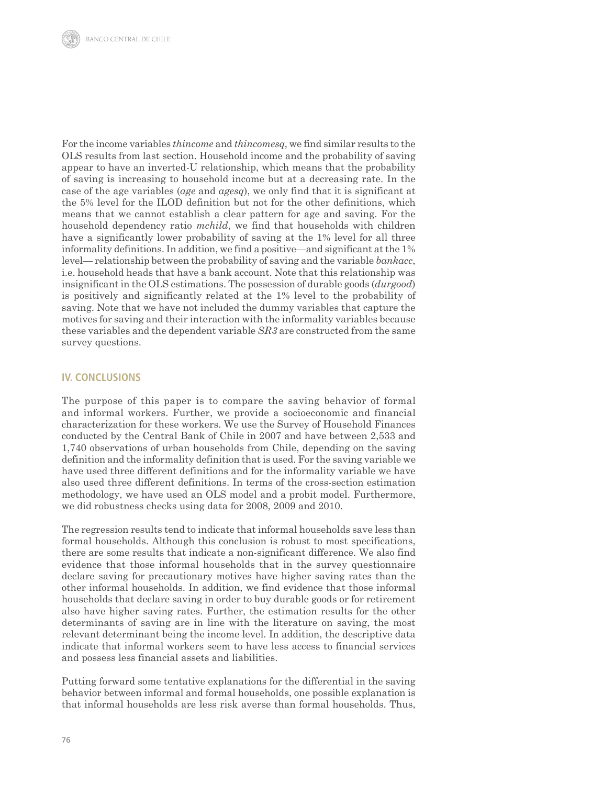For the income variables *thincome* and *thincomesq*, we find similar results to the OLS results from last section. Household income and the probability of saving appear to have an inverted-U relationship, which means that the probability of saving is increasing to household income but at a decreasing rate. In the case of the age variables (*age* and *agesq*), we only find that it is significant at the 5% level for the ILOD definition but not for the other definitions, which means that we cannot establish a clear pattern for age and saving. For the household dependency ratio *mchild*, we find that households with children have a significantly lower probability of saving at the 1% level for all three informality definitions. In addition, we find a positive—and significant at the 1% level— relationship between the probability of saving and the variable *bankacc*, i.e. household heads that have a bank account. Note that this relationship was insignificant in the OLS estimations. The possession of durable goods (*durgood*) is positively and significantly related at the 1% level to the probability of saving. Note that we have not included the dummy variables that capture the motives for saving and their interaction with the informality variables because these variables and the dependent variable *SR3* are constructed from the same survey questions.

#### **IV. CONCLUSIONS**

The purpose of this paper is to compare the saving behavior of formal and informal workers. Further, we provide a socioeconomic and financial characterization for these workers. We use the Survey of Household Finances conducted by the Central Bank of Chile in 2007 and have between 2,533 and 1,740 observations of urban households from Chile, depending on the saving definition and the informality definition that is used. For the saving variable we have used three different definitions and for the informality variable we have also used three different definitions. In terms of the cross-section estimation methodology, we have used an OLS model and a probit model. Furthermore, we did robustness checks using data for 2008, 2009 and 2010.

The regression results tend to indicate that informal households save less than formal households. Although this conclusion is robust to most specifications, there are some results that indicate a non-significant difference. We also find evidence that those informal households that in the survey questionnaire declare saving for precautionary motives have higher saving rates than the other informal households. In addition, we find evidence that those informal households that declare saving in order to buy durable goods or for retirement also have higher saving rates. Further, the estimation results for the other determinants of saving are in line with the literature on saving, the most relevant determinant being the income level. In addition, the descriptive data indicate that informal workers seem to have less access to financial services and possess less financial assets and liabilities.

Putting forward some tentative explanations for the differential in the saving behavior between informal and formal households, one possible explanation is that informal households are less risk averse than formal households. Thus,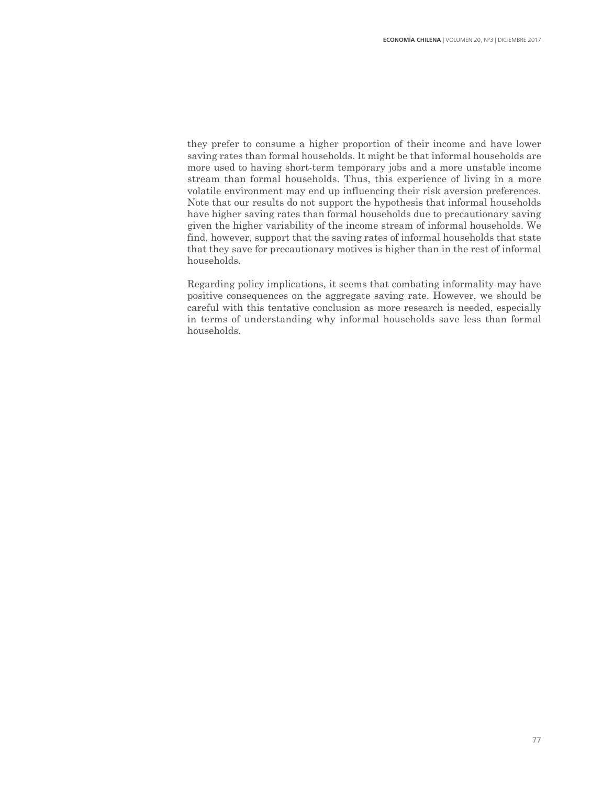they prefer to consume a higher proportion of their income and have lower saving rates than formal households. It might be that informal households are more used to having short-term temporary jobs and a more unstable income stream than formal households. Thus, this experience of living in a more volatile environment may end up influencing their risk aversion preferences. Note that our results do not support the hypothesis that informal households have higher saving rates than formal households due to precautionary saving given the higher variability of the income stream of informal households. We find, however, support that the saving rates of informal households that state that they save for precautionary motives is higher than in the rest of informal households.

Regarding policy implications, it seems that combating informality may have positive consequences on the aggregate saving rate. However, we should be careful with this tentative conclusion as more research is needed, especially in terms of understanding why informal households save less than formal households.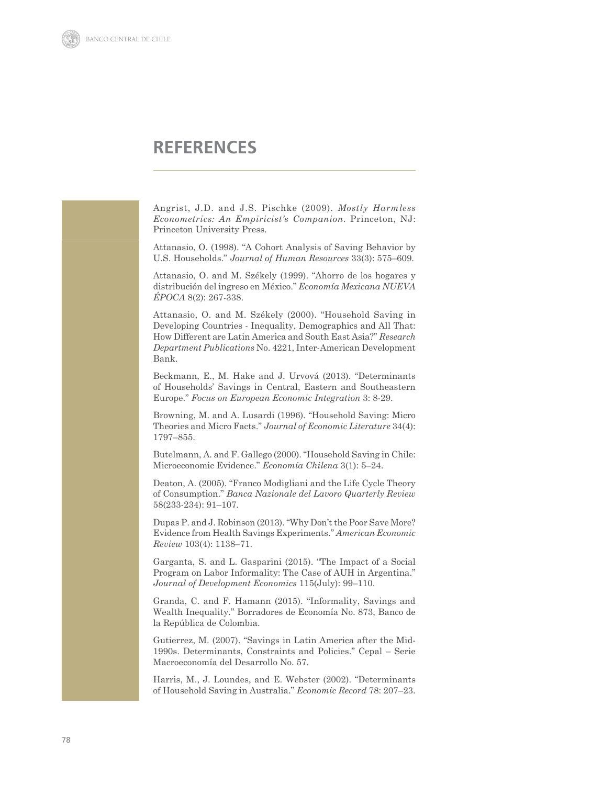## **REFERENCES**

Angrist, J.D. and J.S. Pischke (2009). *Mostly Harmless Econometrics: An Empiricist's Companion*. Princeton, NJ: Princeton University Press.

Attanasio, O. (1998). "A Cohort Analysis of Saving Behavior by U.S. Households." *Journal of Human Resources* 33(3): 575–609.

Attanasio, O. and M. Székely (1999). "Ahorro de los hogares y distribución del ingreso en México." *Economía Mexicana NUEVA ÉPOCA* 8(2): 267-338.

Attanasio, O. and M. Székely (2000). "Household Saving in Developing Countries - Inequality, Demographics and All That: How Different are Latin America and South East Asia?" *Research Department Publications* No. 4221, Inter-American Development Bank.

Beckmann, E., M. Hake and J. Urvová (2013). "Determinants of Households' Savings in Central, Eastern and Southeastern Europe." *Focus on European Economic Integration* 3: 8-29.

Browning, M. and A. Lusardi (1996). "Household Saving: Micro Theories and Micro Facts." *Journal of Economic Literature* 34(4): 1797–855.

Butelmann, A. and F. Gallego (2000). "Household Saving in Chile: Microeconomic Evidence." *Economía Chilena* 3(1): 5–24.

Deaton, A. (2005). "Franco Modigliani and the Life Cycle Theory of Consumption." *Banca Nazionale del Lavoro Quarterly Review* 58(233-234): 91–107.

Dupas P. and J. Robinson (2013). "Why Don't the Poor Save More? Evidence from Health Savings Experiments." *American Economic Review* 103(4): 1138–71.

Garganta, S. and L. Gasparini (2015). "The Impact of a Social Program on Labor Informality: The Case of AUH in Argentina." *Journal of Development Economics* 115(July): 99–110.

Granda, C. and F. Hamann (2015). "Informality, Savings and Wealth Inequality." Borradores de Economía No. 873, Banco de la República de Colombia.

Gutierrez, M. (2007). "Savings in Latin America after the Mid-1990s. Determinants, Constraints and Policies." Cepal – Serie Macroeconomía del Desarrollo No. 57.

Harris, M., J. Loundes, and E. Webster (2002). "Determinants of Household Saving in Australia." *Economic Record* 78: 207–23.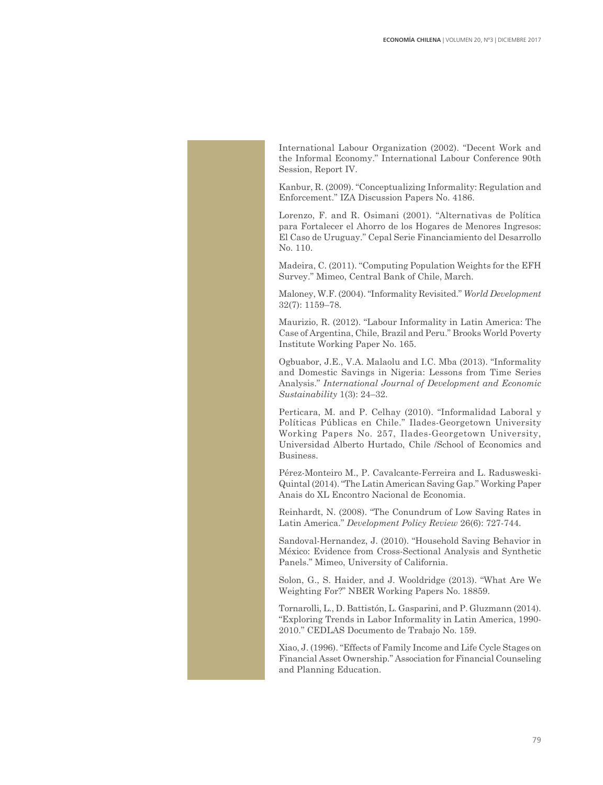International Labour Organization (2002). "Decent Work and the Informal Economy." International Labour Conference 90th Session, Report IV.

Kanbur, R. (2009). "Conceptualizing Informality: Regulation and Enforcement." IZA Discussion Papers No. 4186.

Lorenzo, F. and R. Osimani (2001). "Alternativas de Política para Fortalecer el Ahorro de los Hogares de Menores Ingresos: El Caso de Uruguay." Cepal Serie Financiamiento del Desarrollo No. 110.

Madeira, C. (2011). "Computing Population Weights for the EFH Survey." Mimeo, Central Bank of Chile, March.

Maloney, W.F. (2004). "Informality Revisited." *World Development* 32(7): 1159–78.

Maurizio, R. (2012). "Labour Informality in Latin America: The Case of Argentina, Chile, Brazil and Peru." Brooks World Poverty Institute Working Paper No. 165.

Ogbuabor, J.E., V.A. Malaolu and I.C. Mba (2013). "Informality and Domestic Savings in Nigeria: Lessons from Time Series Analysis." *International Journal of Development and Economic Sustainability* 1(3): 24–32.

Perticara, M. and P. Celhay (2010). "Informalidad Laboral y Políticas Públicas en Chile." Ilades-Georgetown University Working Papers No. 257, Ilades-Georgetown University, Universidad Alberto Hurtado, Chile /School of Economics and Business.

Pérez-Monteiro M., P. Cavalcante-Ferreira and L. Radusweski-Quintal (2014). "The Latin American Saving Gap." Working Paper Anais do XL Encontro Nacional de Economia.

Reinhardt, N. (2008). "The Conundrum of Low Saving Rates in Latin America." *Development Policy Review* 26(6): 727-744.

Sandoval-Hernandez, J. (2010). "Household Saving Behavior in México: Evidence from Cross-Sectional Analysis and Synthetic Panels." Mimeo, University of California.

Solon, G., S. Haider, and J. Wooldridge (2013). "What Are We Weighting For?" NBER Working Papers No. 18859.

Tornarolli, L., D. Battistón, L. Gasparini, and P. Gluzmann (2014). "Exploring Trends in Labor Informality in Latin America, 1990- 2010." CEDLAS Documento de Trabajo No. 159.

Xiao, J. (1996). "Effects of Family Income and Life Cycle Stages on Financial Asset Ownership." Association for Financial Counseling and Planning Education.